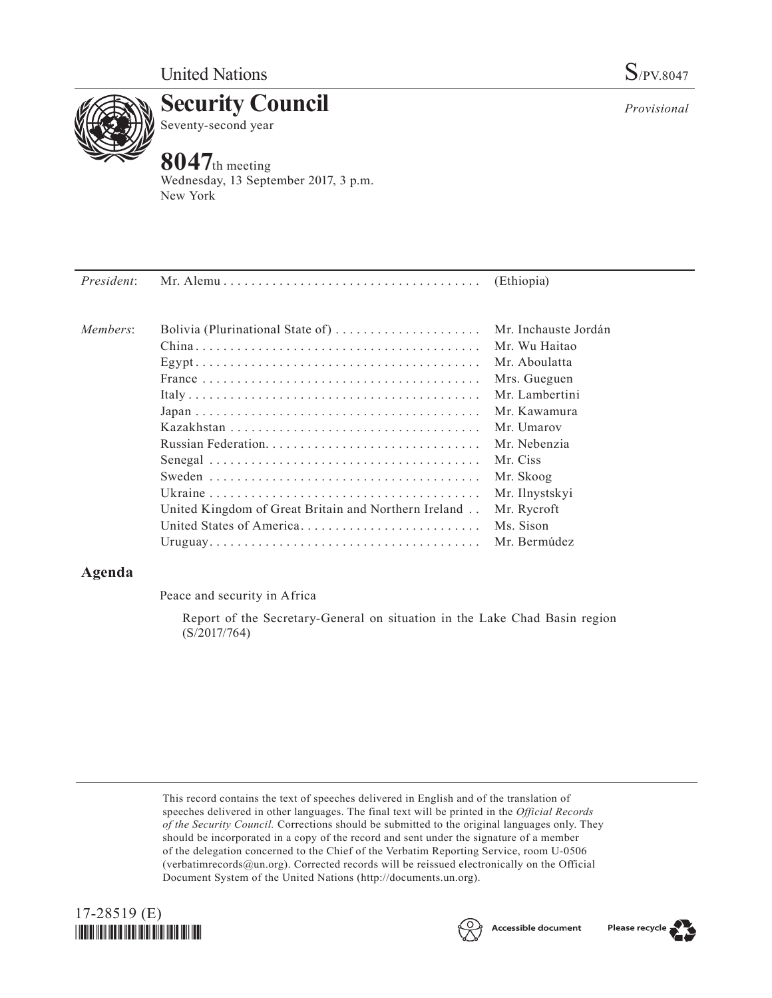

**Security Council** Seventy-second year

# **8047**th meeting

Wednesday, 13 September 2017, 3 p.m. New York

| President: |                                                      | (Ethiopia)           |
|------------|------------------------------------------------------|----------------------|
| Members:   | Bolivia (Plurinational State of)                     | Mr. Inchauste Jordán |
|            |                                                      | Mr. Wu Haitao        |
|            |                                                      | Mr. Aboulatta        |
|            |                                                      | Mrs. Gueguen         |
|            |                                                      | Mr. Lambertini       |
|            |                                                      | Mr. Kawamura         |
|            |                                                      | Mr. Umarov           |
|            |                                                      | Mr. Nebenzia         |
|            |                                                      | Mr. Ciss             |
|            |                                                      | Mr. Skoog            |
|            |                                                      | Mr. Ilnystskyi       |
|            | United Kingdom of Great Britain and Northern Ireland | Mr. Rycroft          |
|            | United States of America                             | Ms. Sison            |
|            |                                                      | Mr. Bermúdez         |
|            |                                                      |                      |

## **Agenda**

Peace and security in Africa

Report of the Secretary-General on situation in the Lake Chad Basin region (S/2017/764)

This record contains the text of speeches delivered in English and of the translation of speeches delivered in other languages. The final text will be printed in the *Official Records of the Security Council.* Corrections should be submitted to the original languages only. They should be incorporated in a copy of the record and sent under the signature of a member of the delegation concerned to the Chief of the Verbatim Reporting Service, room U-0506 (verbatimrecords $@un.org$ ). Corrected records will be reissued electronically on the Official Document System of the United Nations [\(http://documents.un.org\)](http://documents.un.org).







*Provisional*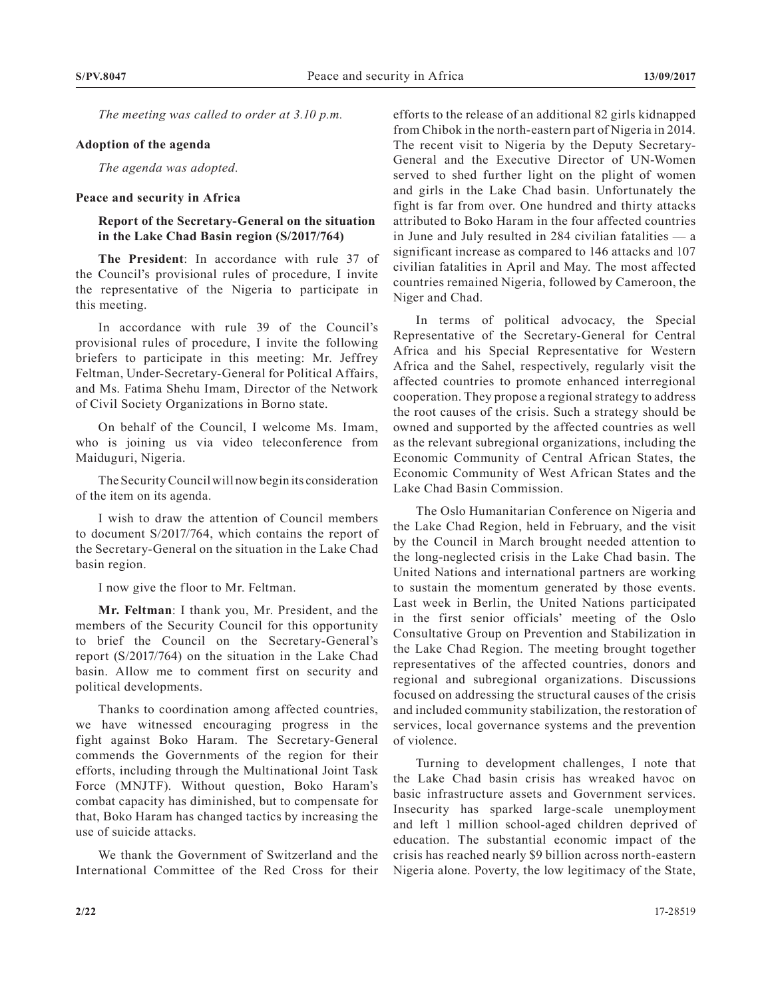*The meeting was called to order at 3.10 p.m.*

#### **Adoption of the agenda**

*The agenda was adopted.*

#### **Peace and security in Africa**

### **Report of the Secretary-General on the situation in the Lake Chad Basin region (S/2017/764)**

**The President**: In accordance with rule 37 of the Council's provisional rules of procedure, I invite the representative of the Nigeria to participate in this meeting.

In accordance with rule 39 of the Council's provisional rules of procedure, I invite the following briefers to participate in this meeting: Mr. Jeffrey Feltman, Under-Secretary-General for Political Affairs, and Ms. Fatima Shehu Imam, Director of the Network of Civil Society Organizations in Borno state.

On behalf of the Council, I welcome Ms. Imam, who is joining us via video teleconference from Maiduguri, Nigeria.

The Security Council will now begin its consideration of the item on its agenda.

I wish to draw the attention of Council members to document S/2017/764, which contains the report of the Secretary-General on the situation in the Lake Chad basin region.

I now give the floor to Mr. Feltman.

**Mr. Feltman**: I thank you, Mr. President, and the members of the Security Council for this opportunity to brief the Council on the Secretary-General's report (S/2017/764) on the situation in the Lake Chad basin. Allow me to comment first on security and political developments.

Thanks to coordination among affected countries, we have witnessed encouraging progress in the fight against Boko Haram. The Secretary-General commends the Governments of the region for their efforts, including through the Multinational Joint Task Force (MNJTF). Without question, Boko Haram's combat capacity has diminished, but to compensate for that, Boko Haram has changed tactics by increasing the use of suicide attacks.

We thank the Government of Switzerland and the International Committee of the Red Cross for their

efforts to the release of an additional 82 girls kidnapped from Chibok in the north-eastern part of Nigeria in 2014. The recent visit to Nigeria by the Deputy Secretary-General and the Executive Director of UN-Women served to shed further light on the plight of women and girls in the Lake Chad basin. Unfortunately the fight is far from over. One hundred and thirty attacks attributed to Boko Haram in the four affected countries in June and July resulted in 284 civilian fatalities — a significant increase as compared to 146 attacks and 107 civilian fatalities in April and May. The most affected countries remained Nigeria, followed by Cameroon, the Niger and Chad.

In terms of political advocacy, the Special Representative of the Secretary-General for Central Africa and his Special Representative for Western Africa and the Sahel, respectively, regularly visit the affected countries to promote enhanced interregional cooperation. They propose a regional strategy to address the root causes of the crisis. Such a strategy should be owned and supported by the affected countries as well as the relevant subregional organizations, including the Economic Community of Central African States, the Economic Community of West African States and the Lake Chad Basin Commission.

The Oslo Humanitarian Conference on Nigeria and the Lake Chad Region, held in February, and the visit by the Council in March brought needed attention to the long-neglected crisis in the Lake Chad basin. The United Nations and international partners are working to sustain the momentum generated by those events. Last week in Berlin, the United Nations participated in the first senior officials' meeting of the Oslo Consultative Group on Prevention and Stabilization in the Lake Chad Region. The meeting brought together representatives of the affected countries, donors and regional and subregional organizations. Discussions focused on addressing the structural causes of the crisis and included community stabilization, the restoration of services, local governance systems and the prevention of violence.

Turning to development challenges, I note that the Lake Chad basin crisis has wreaked havoc on basic infrastructure assets and Government services. Insecurity has sparked large-scale unemployment and left 1 million school-aged children deprived of education. The substantial economic impact of the crisis has reached nearly \$9 billion across north-eastern Nigeria alone. Poverty, the low legitimacy of the State,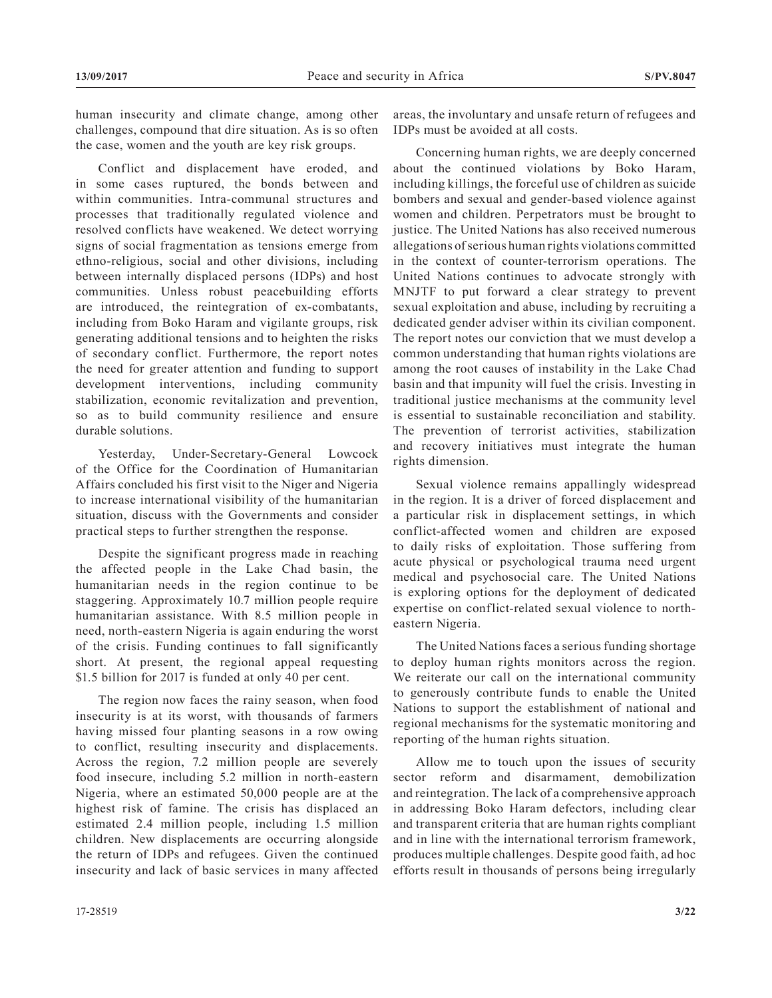human insecurity and climate change, among other challenges, compound that dire situation. As is so often the case, women and the youth are key risk groups.

Conflict and displacement have eroded, and in some cases ruptured, the bonds between and within communities. Intra-communal structures and processes that traditionally regulated violence and resolved conflicts have weakened. We detect worrying signs of social fragmentation as tensions emerge from ethno-religious, social and other divisions, including between internally displaced persons (IDPs) and host communities. Unless robust peacebuilding efforts are introduced, the reintegration of ex-combatants, including from Boko Haram and vigilante groups, risk generating additional tensions and to heighten the risks of secondary conflict. Furthermore, the report notes the need for greater attention and funding to support development interventions, including community stabilization, economic revitalization and prevention, so as to build community resilience and ensure durable solutions.

Yesterday, Under-Secretary-General Lowcock of the Office for the Coordination of Humanitarian Affairs concluded his first visit to the Niger and Nigeria to increase international visibility of the humanitarian situation, discuss with the Governments and consider practical steps to further strengthen the response.

Despite the significant progress made in reaching the affected people in the Lake Chad basin, the humanitarian needs in the region continue to be staggering. Approximately 10.7 million people require humanitarian assistance. With 8.5 million people in need, north-eastern Nigeria is again enduring the worst of the crisis. Funding continues to fall significantly short. At present, the regional appeal requesting \$1.5 billion for 2017 is funded at only 40 per cent.

The region now faces the rainy season, when food insecurity is at its worst, with thousands of farmers having missed four planting seasons in a row owing to conflict, resulting insecurity and displacements. Across the region, 7.2 million people are severely food insecure, including 5.2 million in north-eastern Nigeria, where an estimated 50,000 people are at the highest risk of famine. The crisis has displaced an estimated 2.4 million people, including 1.5 million children. New displacements are occurring alongside the return of IDPs and refugees. Given the continued insecurity and lack of basic services in many affected

areas, the involuntary and unsafe return of refugees and IDPs must be avoided at all costs.

Concerning human rights, we are deeply concerned about the continued violations by Boko Haram, including killings, the forceful use of children as suicide bombers and sexual and gender-based violence against women and children. Perpetrators must be brought to justice. The United Nations has also received numerous allegations of serious human rights violations committed in the context of counter-terrorism operations. The United Nations continues to advocate strongly with MNJTF to put forward a clear strategy to prevent sexual exploitation and abuse, including by recruiting a dedicated gender adviser within its civilian component. The report notes our conviction that we must develop a common understanding that human rights violations are among the root causes of instability in the Lake Chad basin and that impunity will fuel the crisis. Investing in traditional justice mechanisms at the community level is essential to sustainable reconciliation and stability. The prevention of terrorist activities, stabilization and recovery initiatives must integrate the human rights dimension.

Sexual violence remains appallingly widespread in the region. It is a driver of forced displacement and a particular risk in displacement settings, in which conflict-affected women and children are exposed to daily risks of exploitation. Those suffering from acute physical or psychological trauma need urgent medical and psychosocial care. The United Nations is exploring options for the deployment of dedicated expertise on conflict-related sexual violence to northeastern Nigeria.

The United Nations faces a serious funding shortage to deploy human rights monitors across the region. We reiterate our call on the international community to generously contribute funds to enable the United Nations to support the establishment of national and regional mechanisms for the systematic monitoring and reporting of the human rights situation.

Allow me to touch upon the issues of security sector reform and disarmament, demobilization and reintegration. The lack of a comprehensive approach in addressing Boko Haram defectors, including clear and transparent criteria that are human rights compliant and in line with the international terrorism framework, produces multiple challenges. Despite good faith, ad hoc efforts result in thousands of persons being irregularly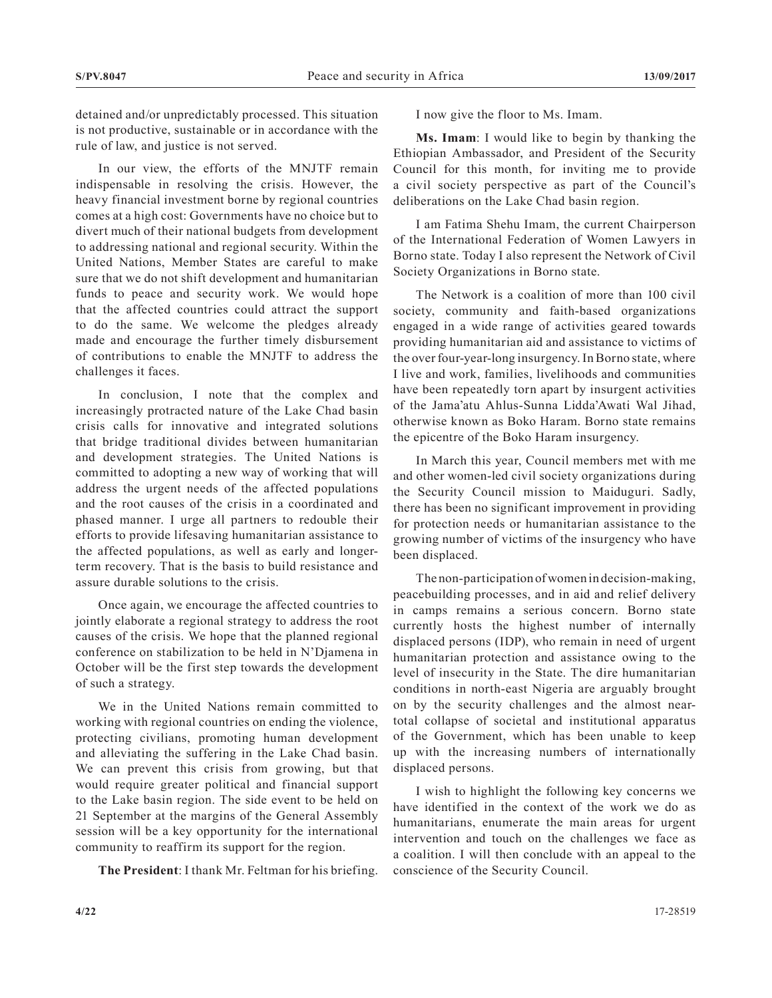detained and/or unpredictably processed. This situation is not productive, sustainable or in accordance with the rule of law, and justice is not served.

In our view, the efforts of the MNJTF remain indispensable in resolving the crisis. However, the heavy financial investment borne by regional countries comes at a high cost: Governments have no choice but to divert much of their national budgets from development to addressing national and regional security. Within the United Nations, Member States are careful to make sure that we do not shift development and humanitarian funds to peace and security work. We would hope that the affected countries could attract the support to do the same. We welcome the pledges already made and encourage the further timely disbursement of contributions to enable the MNJTF to address the challenges it faces.

In conclusion, I note that the complex and increasingly protracted nature of the Lake Chad basin crisis calls for innovative and integrated solutions that bridge traditional divides between humanitarian and development strategies. The United Nations is committed to adopting a new way of working that will address the urgent needs of the affected populations and the root causes of the crisis in a coordinated and phased manner. I urge all partners to redouble their efforts to provide lifesaving humanitarian assistance to the affected populations, as well as early and longerterm recovery. That is the basis to build resistance and assure durable solutions to the crisis.

Once again, we encourage the affected countries to jointly elaborate a regional strategy to address the root causes of the crisis. We hope that the planned regional conference on stabilization to be held in N'Djamena in October will be the first step towards the development of such a strategy.

We in the United Nations remain committed to working with regional countries on ending the violence, protecting civilians, promoting human development and alleviating the suffering in the Lake Chad basin. We can prevent this crisis from growing, but that would require greater political and financial support to the Lake basin region. The side event to be held on 21 September at the margins of the General Assembly session will be a key opportunity for the international community to reaffirm its support for the region.

**The President**: I thank Mr. Feltman for his briefing.

I now give the floor to Ms. Imam.

**Ms. Imam**: I would like to begin by thanking the Ethiopian Ambassador, and President of the Security Council for this month, for inviting me to provide a civil society perspective as part of the Council's deliberations on the Lake Chad basin region.

I am Fatima Shehu Imam, the current Chairperson of the International Federation of Women Lawyers in Borno state. Today I also represent the Network of Civil Society Organizations in Borno state.

The Network is a coalition of more than 100 civil society, community and faith-based organizations engaged in a wide range of activities geared towards providing humanitarian aid and assistance to victims of the over four-year-long insurgency. In Borno state, where I live and work, families, livelihoods and communities have been repeatedly torn apart by insurgent activities of the Jama'atu Ahlus-Sunna Lidda'Awati Wal Jihad, otherwise known as Boko Haram. Borno state remains the epicentre of the Boko Haram insurgency.

In March this year, Council members met with me and other women-led civil society organizations during the Security Council mission to Maiduguri. Sadly, there has been no significant improvement in providing for protection needs or humanitarian assistance to the growing number of victims of the insurgency who have been displaced.

The non-participation of women in decision-making, peacebuilding processes, and in aid and relief delivery in camps remains a serious concern. Borno state currently hosts the highest number of internally displaced persons (IDP), who remain in need of urgent humanitarian protection and assistance owing to the level of insecurity in the State. The dire humanitarian conditions in north-east Nigeria are arguably brought on by the security challenges and the almost neartotal collapse of societal and institutional apparatus of the Government, which has been unable to keep up with the increasing numbers of internationally displaced persons.

I wish to highlight the following key concerns we have identified in the context of the work we do as humanitarians, enumerate the main areas for urgent intervention and touch on the challenges we face as a coalition. I will then conclude with an appeal to the conscience of the Security Council.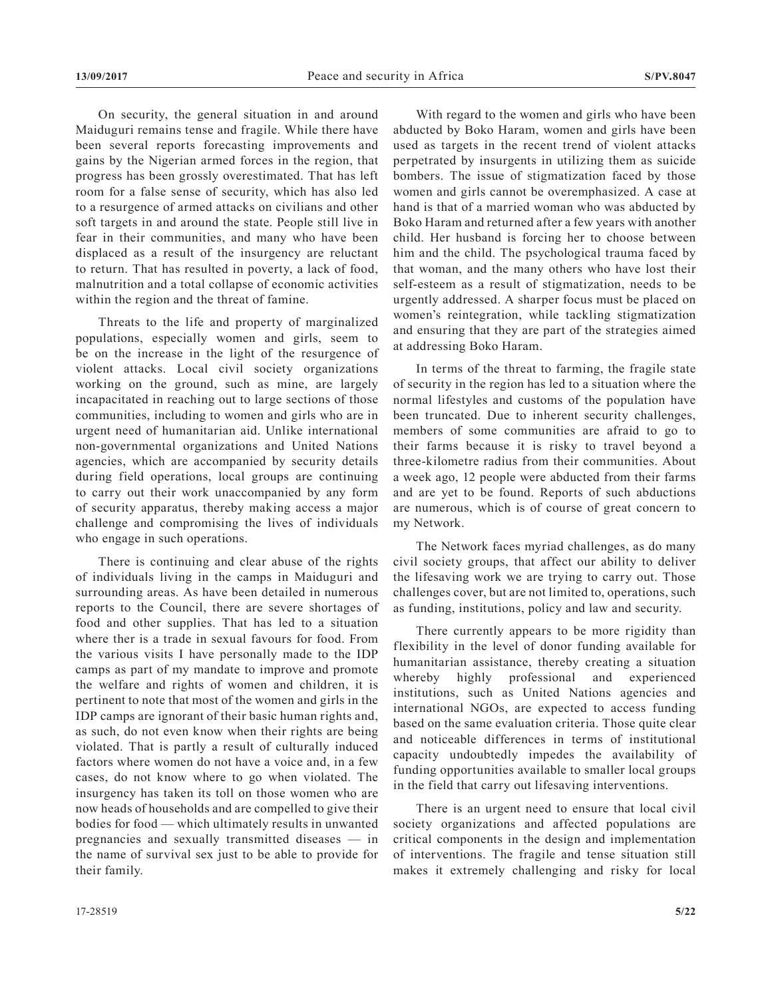On security, the general situation in and around Maiduguri remains tense and fragile. While there have been several reports forecasting improvements and gains by the Nigerian armed forces in the region, that progress has been grossly overestimated. That has left room for a false sense of security, which has also led to a resurgence of armed attacks on civilians and other soft targets in and around the state. People still live in fear in their communities, and many who have been displaced as a result of the insurgency are reluctant to return. That has resulted in poverty, a lack of food, malnutrition and a total collapse of economic activities within the region and the threat of famine.

Threats to the life and property of marginalized populations, especially women and girls, seem to be on the increase in the light of the resurgence of violent attacks. Local civil society organizations working on the ground, such as mine, are largely incapacitated in reaching out to large sections of those communities, including to women and girls who are in urgent need of humanitarian aid. Unlike international non-governmental organizations and United Nations agencies, which are accompanied by security details during field operations, local groups are continuing to carry out their work unaccompanied by any form of security apparatus, thereby making access a major challenge and compromising the lives of individuals who engage in such operations.

There is continuing and clear abuse of the rights of individuals living in the camps in Maiduguri and surrounding areas. As have been detailed in numerous reports to the Council, there are severe shortages of food and other supplies. That has led to a situation where ther is a trade in sexual favours for food. From the various visits I have personally made to the IDP camps as part of my mandate to improve and promote the welfare and rights of women and children, it is pertinent to note that most of the women and girls in the IDP camps are ignorant of their basic human rights and, as such, do not even know when their rights are being violated. That is partly a result of culturally induced factors where women do not have a voice and, in a few cases, do not know where to go when violated. The insurgency has taken its toll on those women who are now heads of households and are compelled to give their bodies for food — which ultimately results in unwanted pregnancies and sexually transmitted diseases — in the name of survival sex just to be able to provide for their family.

With regard to the women and girls who have been abducted by Boko Haram, women and girls have been used as targets in the recent trend of violent attacks perpetrated by insurgents in utilizing them as suicide bombers. The issue of stigmatization faced by those women and girls cannot be overemphasized. A case at hand is that of a married woman who was abducted by Boko Haram and returned after a few years with another child. Her husband is forcing her to choose between him and the child. The psychological trauma faced by that woman, and the many others who have lost their self-esteem as a result of stigmatization, needs to be urgently addressed. A sharper focus must be placed on women's reintegration, while tackling stigmatization and ensuring that they are part of the strategies aimed at addressing Boko Haram.

In terms of the threat to farming, the fragile state of security in the region has led to a situation where the normal lifestyles and customs of the population have been truncated. Due to inherent security challenges, members of some communities are afraid to go to their farms because it is risky to travel beyond a three-kilometre radius from their communities. About a week ago, 12 people were abducted from their farms and are yet to be found. Reports of such abductions are numerous, which is of course of great concern to my Network.

The Network faces myriad challenges, as do many civil society groups, that affect our ability to deliver the lifesaving work we are trying to carry out. Those challenges cover, but are not limited to, operations, such as funding, institutions, policy and law and security.

There currently appears to be more rigidity than flexibility in the level of donor funding available for humanitarian assistance, thereby creating a situation whereby highly professional and experienced institutions, such as United Nations agencies and international NGOs, are expected to access funding based on the same evaluation criteria. Those quite clear and noticeable differences in terms of institutional capacity undoubtedly impedes the availability of funding opportunities available to smaller local groups in the field that carry out lifesaving interventions.

There is an urgent need to ensure that local civil society organizations and affected populations are critical components in the design and implementation of interventions. The fragile and tense situation still makes it extremely challenging and risky for local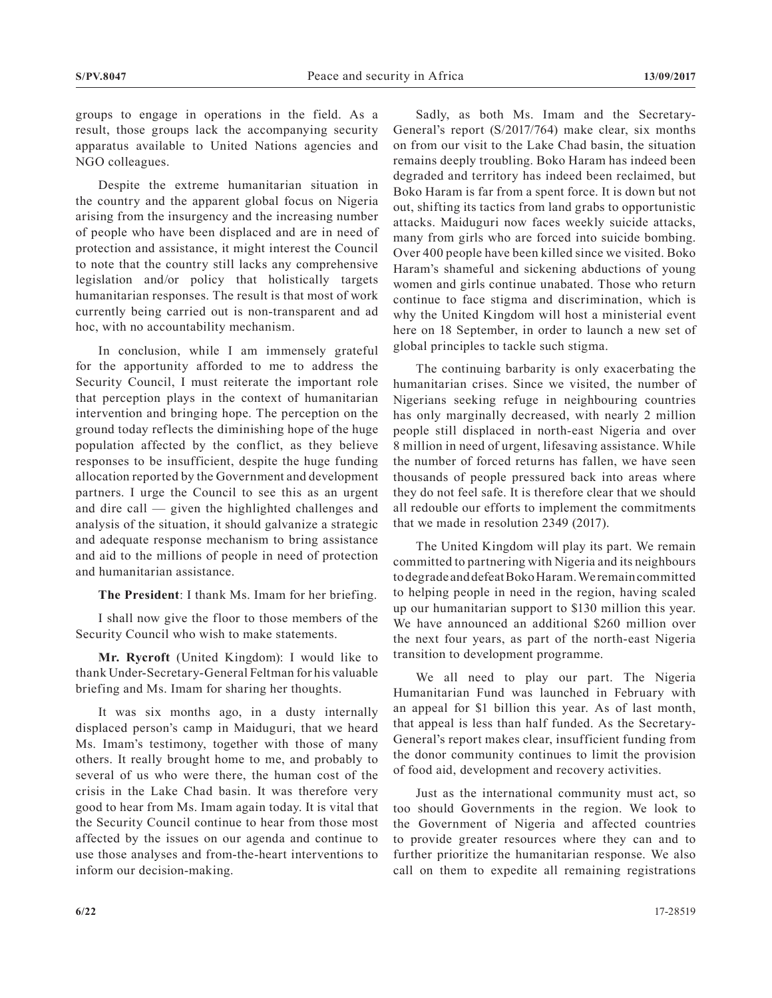groups to engage in operations in the field. As a result, those groups lack the accompanying security apparatus available to United Nations agencies and NGO colleagues.

Despite the extreme humanitarian situation in the country and the apparent global focus on Nigeria arising from the insurgency and the increasing number of people who have been displaced and are in need of protection and assistance, it might interest the Council to note that the country still lacks any comprehensive legislation and/or policy that holistically targets humanitarian responses. The result is that most of work currently being carried out is non-transparent and ad hoc, with no accountability mechanism.

In conclusion, while I am immensely grateful for the apportunity afforded to me to address the Security Council, I must reiterate the important role that perception plays in the context of humanitarian intervention and bringing hope. The perception on the ground today reflects the diminishing hope of the huge population affected by the conflict, as they believe responses to be insufficient, despite the huge funding allocation reported by the Government and development partners. I urge the Council to see this as an urgent and dire call — given the highlighted challenges and analysis of the situation, it should galvanize a strategic and adequate response mechanism to bring assistance and aid to the millions of people in need of protection and humanitarian assistance.

**The President**: I thank Ms. Imam for her briefing.

I shall now give the floor to those members of the Security Council who wish to make statements.

**Mr. Rycroft** (United Kingdom): I would like to thank Under-Secretary-General Feltman for his valuable briefing and Ms. Imam for sharing her thoughts.

It was six months ago, in a dusty internally displaced person's camp in Maiduguri, that we heard Ms. Imam's testimony, together with those of many others. It really brought home to me, and probably to several of us who were there, the human cost of the crisis in the Lake Chad basin. It was therefore very good to hear from Ms. Imam again today. It is vital that the Security Council continue to hear from those most affected by the issues on our agenda and continue to use those analyses and from-the-heart interventions to inform our decision-making.

Sadly, as both Ms. Imam and the Secretary-General's report (S/2017/764) make clear, six months on from our visit to the Lake Chad basin, the situation remains deeply troubling. Boko Haram has indeed been degraded and territory has indeed been reclaimed, but Boko Haram is far from a spent force. It is down but not out, shifting its tactics from land grabs to opportunistic attacks. Maiduguri now faces weekly suicide attacks, many from girls who are forced into suicide bombing. Over 400 people have been killed since we visited. Boko Haram's shameful and sickening abductions of young women and girls continue unabated. Those who return continue to face stigma and discrimination, which is why the United Kingdom will host a ministerial event here on 18 September, in order to launch a new set of global principles to tackle such stigma.

The continuing barbarity is only exacerbating the humanitarian crises. Since we visited, the number of Nigerians seeking refuge in neighbouring countries has only marginally decreased, with nearly 2 million people still displaced in north-east Nigeria and over 8 million in need of urgent, lifesaving assistance. While the number of forced returns has fallen, we have seen thousands of people pressured back into areas where they do not feel safe. It is therefore clear that we should all redouble our efforts to implement the commitments that we made in resolution 2349 (2017).

The United Kingdom will play its part. We remain committed to partnering with Nigeria and its neighbours to degrade and defeat Boko Haram. We remain committed to helping people in need in the region, having scaled up our humanitarian support to \$130 million this year. We have announced an additional \$260 million over the next four years, as part of the north-east Nigeria transition to development programme.

We all need to play our part. The Nigeria Humanitarian Fund was launched in February with an appeal for \$1 billion this year. As of last month, that appeal is less than half funded. As the Secretary-General's report makes clear, insufficient funding from the donor community continues to limit the provision of food aid, development and recovery activities.

Just as the international community must act, so too should Governments in the region. We look to the Government of Nigeria and affected countries to provide greater resources where they can and to further prioritize the humanitarian response. We also call on them to expedite all remaining registrations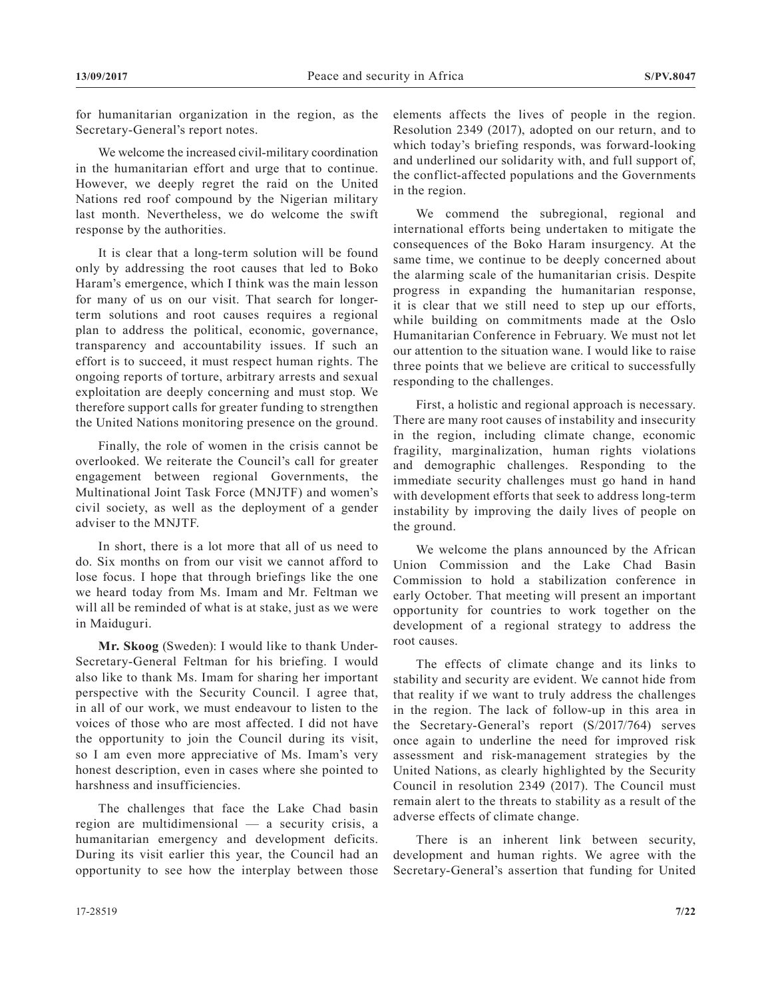for humanitarian organization in the region, as the Secretary-General's report notes.

We welcome the increased civil-military coordination in the humanitarian effort and urge that to continue. However, we deeply regret the raid on the United Nations red roof compound by the Nigerian military last month. Nevertheless, we do welcome the swift response by the authorities.

It is clear that a long-term solution will be found only by addressing the root causes that led to Boko Haram's emergence, which I think was the main lesson for many of us on our visit. That search for longerterm solutions and root causes requires a regional plan to address the political, economic, governance, transparency and accountability issues. If such an effort is to succeed, it must respect human rights. The ongoing reports of torture, arbitrary arrests and sexual exploitation are deeply concerning and must stop. We therefore support calls for greater funding to strengthen the United Nations monitoring presence on the ground.

Finally, the role of women in the crisis cannot be overlooked. We reiterate the Council's call for greater engagement between regional Governments, the Multinational Joint Task Force (MNJTF) and women's civil society, as well as the deployment of a gender adviser to the MNJTF.

In short, there is a lot more that all of us need to do. Six months on from our visit we cannot afford to lose focus. I hope that through briefings like the one we heard today from Ms. Imam and Mr. Feltman we will all be reminded of what is at stake, just as we were in Maiduguri.

**Mr. Skoog** (Sweden): I would like to thank Under-Secretary-General Feltman for his briefing. I would also like to thank Ms. Imam for sharing her important perspective with the Security Council. I agree that, in all of our work, we must endeavour to listen to the voices of those who are most affected. I did not have the opportunity to join the Council during its visit, so I am even more appreciative of Ms. Imam's very honest description, even in cases where she pointed to harshness and insufficiencies.

The challenges that face the Lake Chad basin region are multidimensional — a security crisis, a humanitarian emergency and development deficits. During its visit earlier this year, the Council had an opportunity to see how the interplay between those elements affects the lives of people in the region. Resolution 2349 (2017), adopted on our return, and to which today's briefing responds, was forward-looking and underlined our solidarity with, and full support of, the conflict-affected populations and the Governments in the region.

We commend the subregional, regional and international efforts being undertaken to mitigate the consequences of the Boko Haram insurgency. At the same time, we continue to be deeply concerned about the alarming scale of the humanitarian crisis. Despite progress in expanding the humanitarian response, it is clear that we still need to step up our efforts, while building on commitments made at the Oslo Humanitarian Conference in February. We must not let our attention to the situation wane. I would like to raise three points that we believe are critical to successfully responding to the challenges.

First, a holistic and regional approach is necessary. There are many root causes of instability and insecurity in the region, including climate change, economic fragility, marginalization, human rights violations and demographic challenges. Responding to the immediate security challenges must go hand in hand with development efforts that seek to address long-term instability by improving the daily lives of people on the ground.

We welcome the plans announced by the African Union Commission and the Lake Chad Basin Commission to hold a stabilization conference in early October. That meeting will present an important opportunity for countries to work together on the development of a regional strategy to address the root causes.

The effects of climate change and its links to stability and security are evident. We cannot hide from that reality if we want to truly address the challenges in the region. The lack of follow-up in this area in the Secretary-General's report (S/2017/764) serves once again to underline the need for improved risk assessment and risk-management strategies by the United Nations, as clearly highlighted by the Security Council in resolution 2349 (2017). The Council must remain alert to the threats to stability as a result of the adverse effects of climate change.

There is an inherent link between security, development and human rights. We agree with the Secretary-General's assertion that funding for United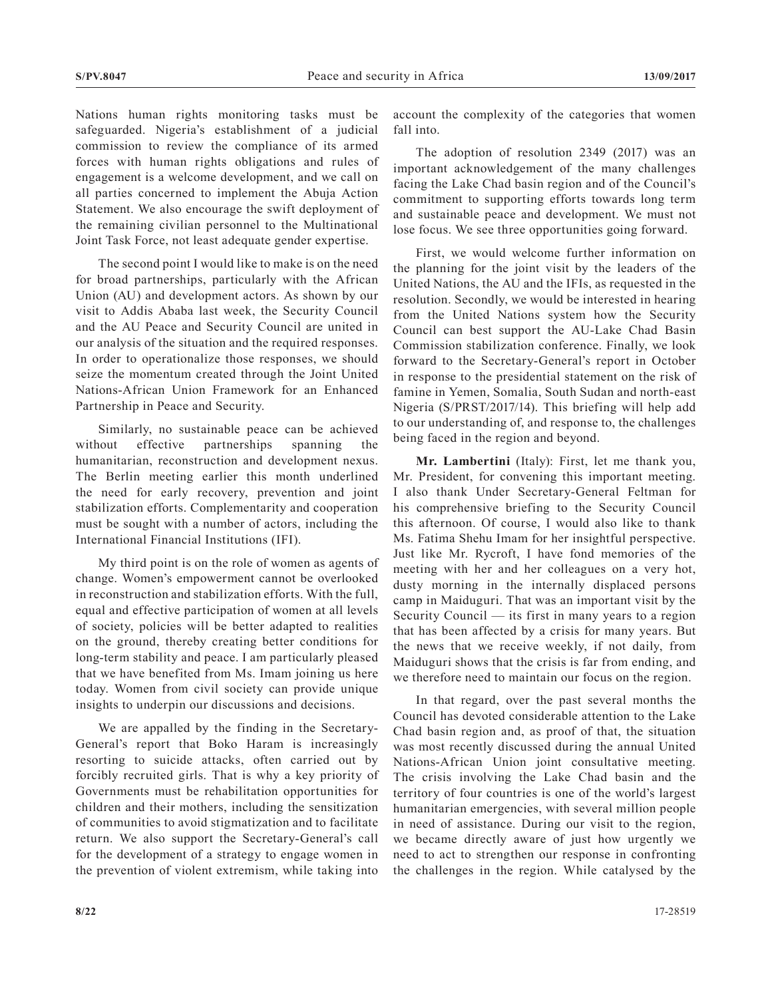Nations human rights monitoring tasks must be safeguarded. Nigeria's establishment of a judicial commission to review the compliance of its armed forces with human rights obligations and rules of engagement is a welcome development, and we call on all parties concerned to implement the Abuja Action Statement. We also encourage the swift deployment of the remaining civilian personnel to the Multinational Joint Task Force, not least adequate gender expertise.

The second point I would like to make is on the need for broad partnerships, particularly with the African Union (AU) and development actors. As shown by our visit to Addis Ababa last week, the Security Council and the AU Peace and Security Council are united in our analysis of the situation and the required responses. In order to operationalize those responses, we should seize the momentum created through the Joint United Nations-African Union Framework for an Enhanced Partnership in Peace and Security.

Similarly, no sustainable peace can be achieved without effective partnerships spanning the humanitarian, reconstruction and development nexus. The Berlin meeting earlier this month underlined the need for early recovery, prevention and joint stabilization efforts. Complementarity and cooperation must be sought with a number of actors, including the International Financial Institutions (IFI).

My third point is on the role of women as agents of change. Women's empowerment cannot be overlooked in reconstruction and stabilization efforts. With the full, equal and effective participation of women at all levels of society, policies will be better adapted to realities on the ground, thereby creating better conditions for long-term stability and peace. I am particularly pleased that we have benefited from Ms. Imam joining us here today. Women from civil society can provide unique insights to underpin our discussions and decisions.

We are appalled by the finding in the Secretary-General's report that Boko Haram is increasingly resorting to suicide attacks, often carried out by forcibly recruited girls. That is why a key priority of Governments must be rehabilitation opportunities for children and their mothers, including the sensitization of communities to avoid stigmatization and to facilitate return. We also support the Secretary-General's call for the development of a strategy to engage women in the prevention of violent extremism, while taking into

account the complexity of the categories that women fall into.

The adoption of resolution 2349 (2017) was an important acknowledgement of the many challenges facing the Lake Chad basin region and of the Council's commitment to supporting efforts towards long term and sustainable peace and development. We must not lose focus. We see three opportunities going forward.

First, we would welcome further information on the planning for the joint visit by the leaders of the United Nations, the AU and the IFIs, as requested in the resolution. Secondly, we would be interested in hearing from the United Nations system how the Security Council can best support the AU-Lake Chad Basin Commission stabilization conference. Finally, we look forward to the Secretary-General's report in October in response to the presidential statement on the risk of famine in Yemen, Somalia, South Sudan and north-east Nigeria (S/PRST/2017/14). This briefing will help add to our understanding of, and response to, the challenges being faced in the region and beyond.

**Mr. Lambertini** (Italy): First, let me thank you, Mr. President, for convening this important meeting. I also thank Under Secretary-General Feltman for his comprehensive briefing to the Security Council this afternoon. Of course, I would also like to thank Ms. Fatima Shehu Imam for her insightful perspective. Just like Mr. Rycroft, I have fond memories of the meeting with her and her colleagues on a very hot, dusty morning in the internally displaced persons camp in Maiduguri. That was an important visit by the Security Council — its first in many years to a region that has been affected by a crisis for many years. But the news that we receive weekly, if not daily, from Maiduguri shows that the crisis is far from ending, and we therefore need to maintain our focus on the region.

In that regard, over the past several months the Council has devoted considerable attention to the Lake Chad basin region and, as proof of that, the situation was most recently discussed during the annual United Nations-African Union joint consultative meeting. The crisis involving the Lake Chad basin and the territory of four countries is one of the world's largest humanitarian emergencies, with several million people in need of assistance. During our visit to the region, we became directly aware of just how urgently we need to act to strengthen our response in confronting the challenges in the region. While catalysed by the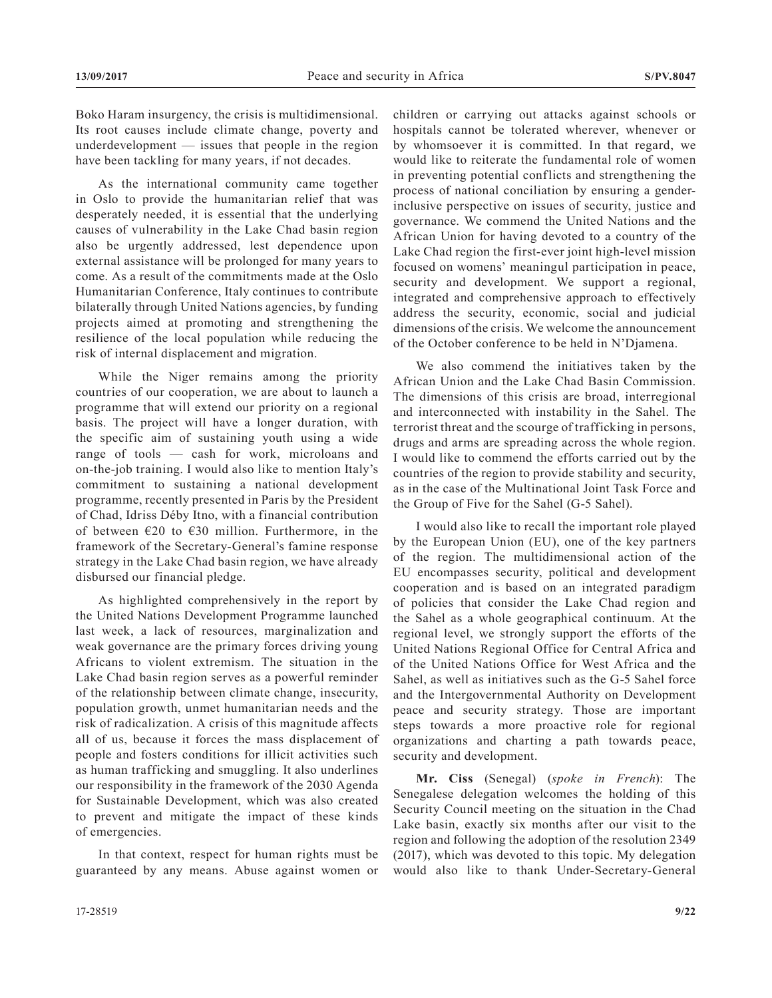Boko Haram insurgency, the crisis is multidimensional. Its root causes include climate change, poverty and underdevelopment — issues that people in the region have been tackling for many years, if not decades.

As the international community came together in Oslo to provide the humanitarian relief that was desperately needed, it is essential that the underlying causes of vulnerability in the Lake Chad basin region also be urgently addressed, lest dependence upon external assistance will be prolonged for many years to come. As a result of the commitments made at the Oslo Humanitarian Conference, Italy continues to contribute bilaterally through United Nations agencies, by funding projects aimed at promoting and strengthening the resilience of the local population while reducing the risk of internal displacement and migration.

While the Niger remains among the priority countries of our cooperation, we are about to launch a programme that will extend our priority on a regional basis. The project will have a longer duration, with the specific aim of sustaining youth using a wide range of tools — cash for work, microloans and on-the-job training. I would also like to mention Italy's commitment to sustaining a national development programme, recently presented in Paris by the President of Chad, Idriss Déby Itno, with a financial contribution of between  $\epsilon$ 20 to  $\epsilon$ 30 million. Furthermore, in the framework of the Secretary-General's famine response strategy in the Lake Chad basin region, we have already disbursed our financial pledge.

As highlighted comprehensively in the report by the United Nations Development Programme launched last week, a lack of resources, marginalization and weak governance are the primary forces driving young Africans to violent extremism. The situation in the Lake Chad basin region serves as a powerful reminder of the relationship between climate change, insecurity, population growth, unmet humanitarian needs and the risk of radicalization. A crisis of this magnitude affects all of us, because it forces the mass displacement of people and fosters conditions for illicit activities such as human trafficking and smuggling. It also underlines our responsibility in the framework of the 2030 Agenda for Sustainable Development, which was also created to prevent and mitigate the impact of these kinds of emergencies.

In that context, respect for human rights must be guaranteed by any means. Abuse against women or children or carrying out attacks against schools or hospitals cannot be tolerated wherever, whenever or by whomsoever it is committed. In that regard, we would like to reiterate the fundamental role of women in preventing potential conflicts and strengthening the process of national conciliation by ensuring a genderinclusive perspective on issues of security, justice and governance. We commend the United Nations and the African Union for having devoted to a country of the Lake Chad region the first-ever joint high-level mission focused on womens' meaningul participation in peace, security and development. We support a regional, integrated and comprehensive approach to effectively address the security, economic, social and judicial dimensions of the crisis. We welcome the announcement of the October conference to be held in N'Djamena.

We also commend the initiatives taken by the African Union and the Lake Chad Basin Commission. The dimensions of this crisis are broad, interregional and interconnected with instability in the Sahel. The terrorist threat and the scourge of trafficking in persons, drugs and arms are spreading across the whole region. I would like to commend the efforts carried out by the countries of the region to provide stability and security, as in the case of the Multinational Joint Task Force and the Group of Five for the Sahel (G-5 Sahel).

I would also like to recall the important role played by the European Union (EU), one of the key partners of the region. The multidimensional action of the EU encompasses security, political and development cooperation and is based on an integrated paradigm of policies that consider the Lake Chad region and the Sahel as a whole geographical continuum. At the regional level, we strongly support the efforts of the United Nations Regional Office for Central Africa and of the United Nations Office for West Africa and the Sahel, as well as initiatives such as the G-5 Sahel force and the Intergovernmental Authority on Development peace and security strategy. Those are important steps towards a more proactive role for regional organizations and charting a path towards peace, security and development.

**Mr. Ciss** (Senegal) (*spoke in French*): The Senegalese delegation welcomes the holding of this Security Council meeting on the situation in the Chad Lake basin, exactly six months after our visit to the region and following the adoption of the resolution 2349 (2017), which was devoted to this topic. My delegation would also like to thank Under-Secretary-General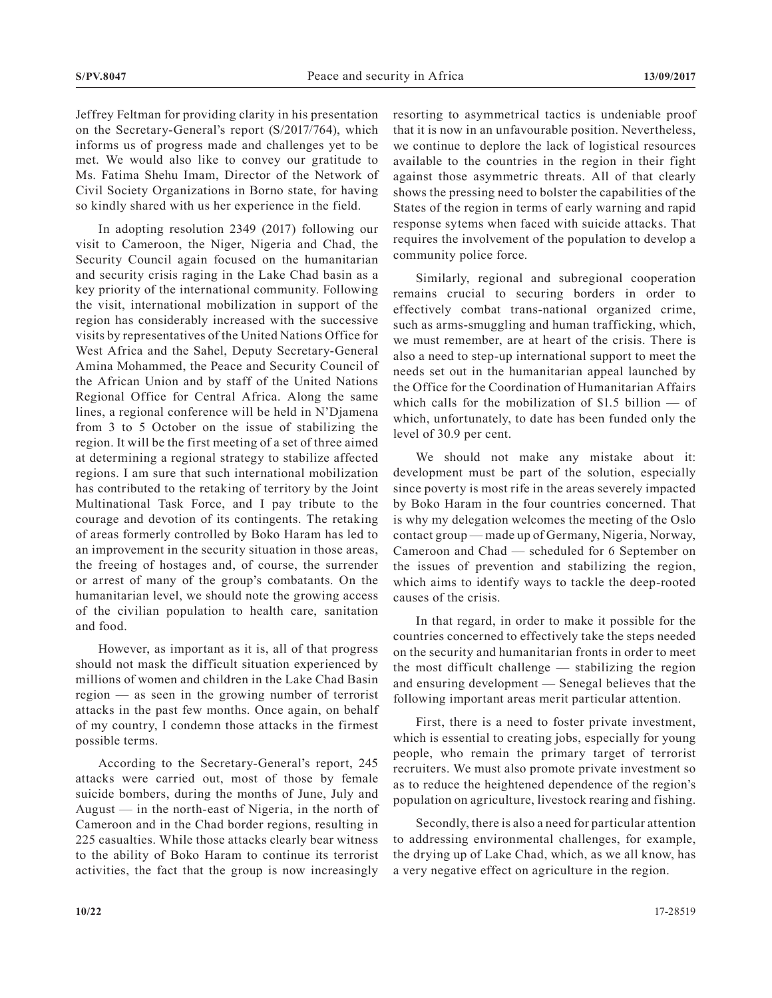Jeffrey Feltman for providing clarity in his presentation on the Secretary-General's report (S/2017/764), which informs us of progress made and challenges yet to be met. We would also like to convey our gratitude to Ms. Fatima Shehu Imam, Director of the Network of Civil Society Organizations in Borno state, for having so kindly shared with us her experience in the field.

In adopting resolution 2349 (2017) following our visit to Cameroon, the Niger, Nigeria and Chad, the Security Council again focused on the humanitarian and security crisis raging in the Lake Chad basin as a key priority of the international community. Following the visit, international mobilization in support of the region has considerably increased with the successive visits by representatives of the United Nations Office for West Africa and the Sahel, Deputy Secretary-General Amina Mohammed, the Peace and Security Council of the African Union and by staff of the United Nations Regional Office for Central Africa. Along the same lines, a regional conference will be held in N'Djamena from 3 to 5 October on the issue of stabilizing the region. It will be the first meeting of a set of three aimed at determining a regional strategy to stabilize affected regions. I am sure that such international mobilization has contributed to the retaking of territory by the Joint Multinational Task Force, and I pay tribute to the courage and devotion of its contingents. The retaking of areas formerly controlled by Boko Haram has led to an improvement in the security situation in those areas, the freeing of hostages and, of course, the surrender or arrest of many of the group's combatants. On the humanitarian level, we should note the growing access of the civilian population to health care, sanitation and food.

However, as important as it is, all of that progress should not mask the difficult situation experienced by millions of women and children in the Lake Chad Basin region — as seen in the growing number of terrorist attacks in the past few months. Once again, on behalf of my country, I condemn those attacks in the firmest possible terms.

According to the Secretary-General's report, 245 attacks were carried out, most of those by female suicide bombers, during the months of June, July and August — in the north-east of Nigeria, in the north of Cameroon and in the Chad border regions, resulting in 225 casualties. While those attacks clearly bear witness to the ability of Boko Haram to continue its terrorist activities, the fact that the group is now increasingly

resorting to asymmetrical tactics is undeniable proof that it is now in an unfavourable position. Nevertheless, we continue to deplore the lack of logistical resources available to the countries in the region in their fight against those asymmetric threats. All of that clearly shows the pressing need to bolster the capabilities of the States of the region in terms of early warning and rapid response sytems when faced with suicide attacks. That requires the involvement of the population to develop a community police force.

Similarly, regional and subregional cooperation remains crucial to securing borders in order to effectively combat trans-national organized crime, such as arms-smuggling and human trafficking, which, we must remember, are at heart of the crisis. There is also a need to step-up international support to meet the needs set out in the humanitarian appeal launched by the Office for the Coordination of Humanitarian Affairs which calls for the mobilization of  $$1.5$  billion  $-$  of which, unfortunately, to date has been funded only the level of 30.9 per cent.

We should not make any mistake about it: development must be part of the solution, especially since poverty is most rife in the areas severely impacted by Boko Haram in the four countries concerned. That is why my delegation welcomes the meeting of the Oslo contact group — made up of Germany, Nigeria, Norway, Cameroon and Chad — scheduled for 6 September on the issues of prevention and stabilizing the region, which aims to identify ways to tackle the deep-rooted causes of the crisis.

In that regard, in order to make it possible for the countries concerned to effectively take the steps needed on the security and humanitarian fronts in order to meet the most difficult challenge — stabilizing the region and ensuring development — Senegal believes that the following important areas merit particular attention.

First, there is a need to foster private investment, which is essential to creating jobs, especially for young people, who remain the primary target of terrorist recruiters. We must also promote private investment so as to reduce the heightened dependence of the region's population on agriculture, livestock rearing and fishing.

Secondly, there is also a need for particular attention to addressing environmental challenges, for example, the drying up of Lake Chad, which, as we all know, has a very negative effect on agriculture in the region.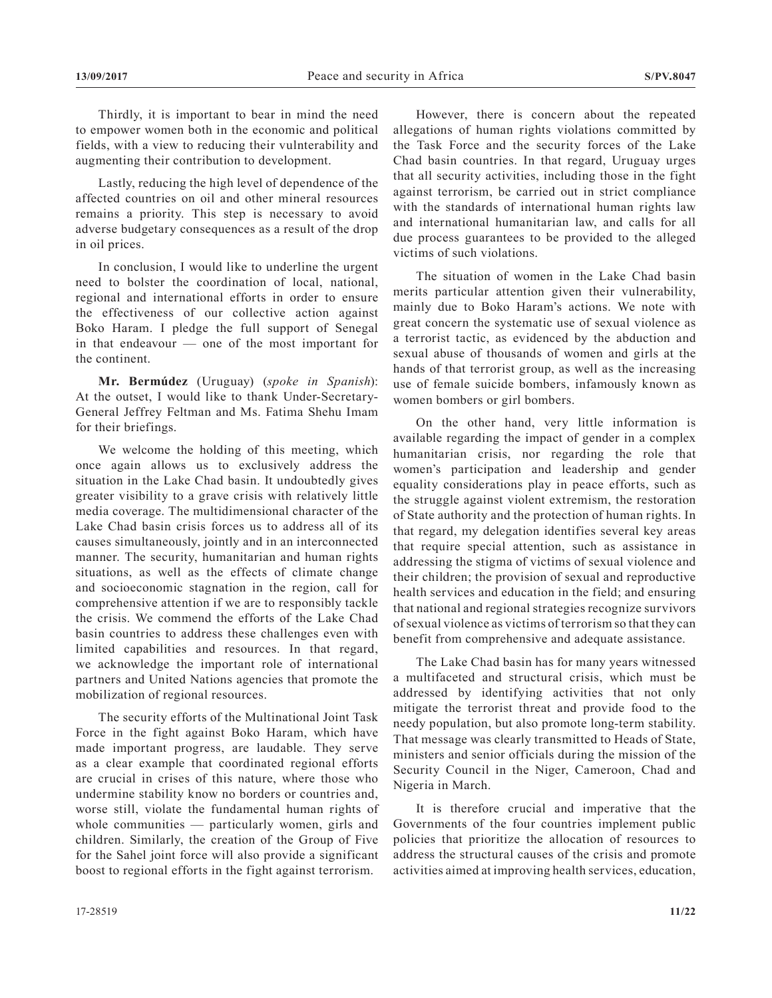Thirdly, it is important to bear in mind the need to empower women both in the economic and political fields, with a view to reducing their vulnterability and augmenting their contribution to development.

Lastly, reducing the high level of dependence of the affected countries on oil and other mineral resources remains a priority. This step is necessary to avoid adverse budgetary consequences as a result of the drop in oil prices.

In conclusion, I would like to underline the urgent need to bolster the coordination of local, national, regional and international efforts in order to ensure the effectiveness of our collective action against Boko Haram. I pledge the full support of Senegal in that endeavour — one of the most important for the continent.

**Mr. Bermúdez** (Uruguay) (*spoke in Spanish*): At the outset, I would like to thank Under-Secretary-General Jeffrey Feltman and Ms. Fatima Shehu Imam for their briefings.

We welcome the holding of this meeting, which once again allows us to exclusively address the situation in the Lake Chad basin. It undoubtedly gives greater visibility to a grave crisis with relatively little media coverage. The multidimensional character of the Lake Chad basin crisis forces us to address all of its causes simultaneously, jointly and in an interconnected manner. The security, humanitarian and human rights situations, as well as the effects of climate change and socioeconomic stagnation in the region, call for comprehensive attention if we are to responsibly tackle the crisis. We commend the efforts of the Lake Chad basin countries to address these challenges even with limited capabilities and resources. In that regard, we acknowledge the important role of international partners and United Nations agencies that promote the mobilization of regional resources.

The security efforts of the Multinational Joint Task Force in the fight against Boko Haram, which have made important progress, are laudable. They serve as a clear example that coordinated regional efforts are crucial in crises of this nature, where those who undermine stability know no borders or countries and, worse still, violate the fundamental human rights of whole communities — particularly women, girls and children. Similarly, the creation of the Group of Five for the Sahel joint force will also provide a significant boost to regional efforts in the fight against terrorism.

However, there is concern about the repeated allegations of human rights violations committed by the Task Force and the security forces of the Lake Chad basin countries. In that regard, Uruguay urges that all security activities, including those in the fight against terrorism, be carried out in strict compliance with the standards of international human rights law and international humanitarian law, and calls for all due process guarantees to be provided to the alleged victims of such violations.

The situation of women in the Lake Chad basin merits particular attention given their vulnerability, mainly due to Boko Haram's actions. We note with great concern the systematic use of sexual violence as a terrorist tactic, as evidenced by the abduction and sexual abuse of thousands of women and girls at the hands of that terrorist group, as well as the increasing use of female suicide bombers, infamously known as women bombers or girl bombers.

On the other hand, very little information is available regarding the impact of gender in a complex humanitarian crisis, nor regarding the role that women's participation and leadership and gender equality considerations play in peace efforts, such as the struggle against violent extremism, the restoration of State authority and the protection of human rights. In that regard, my delegation identifies several key areas that require special attention, such as assistance in addressing the stigma of victims of sexual violence and their children; the provision of sexual and reproductive health services and education in the field; and ensuring that national and regional strategies recognize survivors of sexual violence as victims of terrorism so that they can benefit from comprehensive and adequate assistance.

The Lake Chad basin has for many years witnessed a multifaceted and structural crisis, which must be addressed by identifying activities that not only mitigate the terrorist threat and provide food to the needy population, but also promote long-term stability. That message was clearly transmitted to Heads of State, ministers and senior officials during the mission of the Security Council in the Niger, Cameroon, Chad and Nigeria in March.

It is therefore crucial and imperative that the Governments of the four countries implement public policies that prioritize the allocation of resources to address the structural causes of the crisis and promote activities aimed at improving health services, education,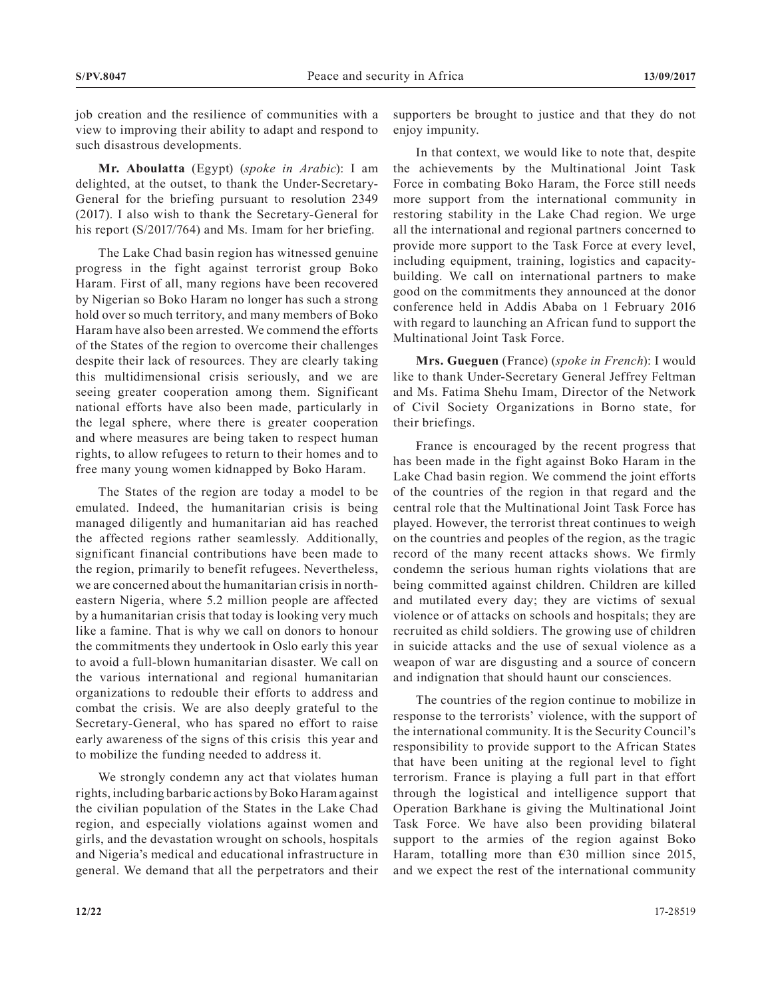job creation and the resilience of communities with a view to improving their ability to adapt and respond to such disastrous developments.

**Mr. Aboulatta** (Egypt) (*spoke in Arabic*): I am delighted, at the outset, to thank the Under-Secretary-General for the briefing pursuant to resolution 2349 (2017). I also wish to thank the Secretary-General for his report (S/2017/764) and Ms. Imam for her briefing.

The Lake Chad basin region has witnessed genuine progress in the fight against terrorist group Boko Haram. First of all, many regions have been recovered by Nigerian so Boko Haram no longer has such a strong hold over so much territory, and many members of Boko Haram have also been arrested. We commend the efforts of the States of the region to overcome their challenges despite their lack of resources. They are clearly taking this multidimensional crisis seriously, and we are seeing greater cooperation among them. Significant national efforts have also been made, particularly in the legal sphere, where there is greater cooperation and where measures are being taken to respect human rights, to allow refugees to return to their homes and to free many young women kidnapped by Boko Haram.

The States of the region are today a model to be emulated. Indeed, the humanitarian crisis is being managed diligently and humanitarian aid has reached the affected regions rather seamlessly. Additionally, significant financial contributions have been made to the region, primarily to benefit refugees. Nevertheless, we are concerned about the humanitarian crisis in northeastern Nigeria, where 5.2 million people are affected by a humanitarian crisis that today is looking very much like a famine. That is why we call on donors to honour the commitments they undertook in Oslo early this year to avoid a full-blown humanitarian disaster. We call on the various international and regional humanitarian organizations to redouble their efforts to address and combat the crisis. We are also deeply grateful to the Secretary-General, who has spared no effort to raise early awareness of the signs of this crisis this year and to mobilize the funding needed to address it.

We strongly condemn any act that violates human rights, including barbaric actions by Boko Haram against the civilian population of the States in the Lake Chad region, and especially violations against women and girls, and the devastation wrought on schools, hospitals and Nigeria's medical and educational infrastructure in general. We demand that all the perpetrators and their supporters be brought to justice and that they do not enjoy impunity.

In that context, we would like to note that, despite the achievements by the Multinational Joint Task Force in combating Boko Haram, the Force still needs more support from the international community in restoring stability in the Lake Chad region. We urge all the international and regional partners concerned to provide more support to the Task Force at every level, including equipment, training, logistics and capacitybuilding. We call on international partners to make good on the commitments they announced at the donor conference held in Addis Ababa on 1 February 2016 with regard to launching an African fund to support the Multinational Joint Task Force.

**Mrs. Gueguen** (France) (*spoke in French*): I would like to thank Under-Secretary General Jeffrey Feltman and Ms. Fatima Shehu Imam, Director of the Network of Civil Society Organizations in Borno state, for their briefings.

France is encouraged by the recent progress that has been made in the fight against Boko Haram in the Lake Chad basin region. We commend the joint efforts of the countries of the region in that regard and the central role that the Multinational Joint Task Force has played. However, the terrorist threat continues to weigh on the countries and peoples of the region, as the tragic record of the many recent attacks shows. We firmly condemn the serious human rights violations that are being committed against children. Children are killed and mutilated every day; they are victims of sexual violence or of attacks on schools and hospitals; they are recruited as child soldiers. The growing use of children in suicide attacks and the use of sexual violence as a weapon of war are disgusting and a source of concern and indignation that should haunt our consciences.

The countries of the region continue to mobilize in response to the terrorists' violence, with the support of the international community. It is the Security Council's responsibility to provide support to the African States that have been uniting at the regional level to fight terrorism. France is playing a full part in that effort through the logistical and intelligence support that Operation Barkhane is giving the Multinational Joint Task Force. We have also been providing bilateral support to the armies of the region against Boko Haram, totalling more than  $\epsilon$ 30 million since 2015, and we expect the rest of the international community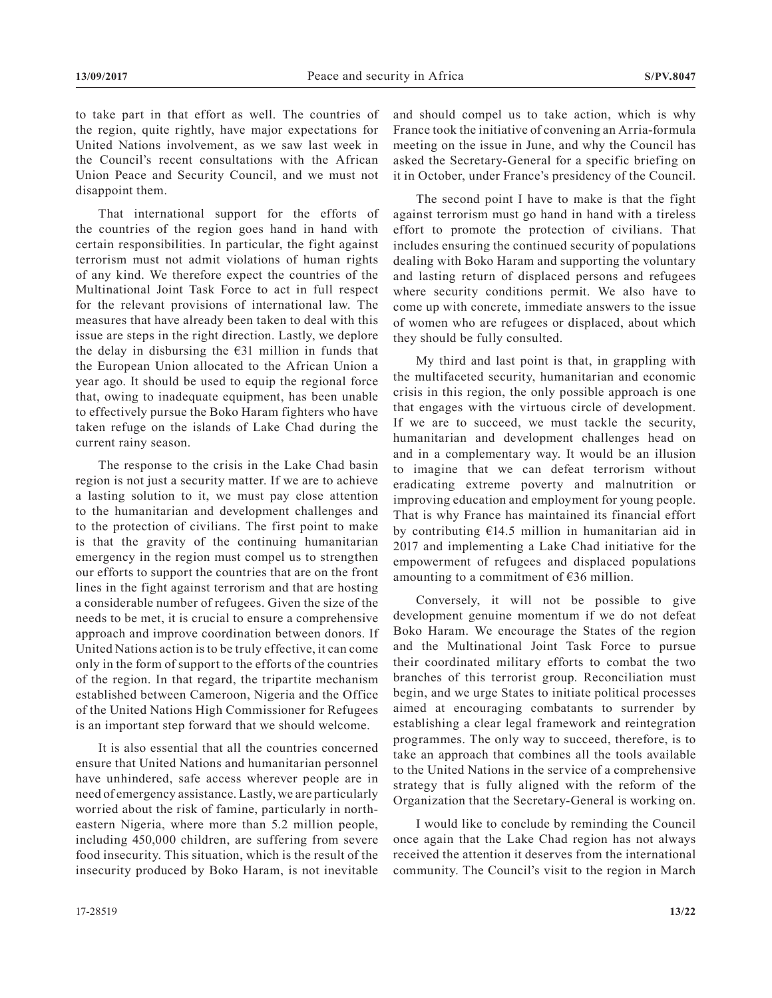to take part in that effort as well. The countries of the region, quite rightly, have major expectations for United Nations involvement, as we saw last week in the Council's recent consultations with the African Union Peace and Security Council, and we must not disappoint them.

That international support for the efforts of the countries of the region goes hand in hand with certain responsibilities. In particular, the fight against terrorism must not admit violations of human rights of any kind. We therefore expect the countries of the Multinational Joint Task Force to act in full respect for the relevant provisions of international law. The measures that have already been taken to deal with this issue are steps in the right direction. Lastly, we deplore the delay in disbursing the  $E$ 31 million in funds that the European Union allocated to the African Union a year ago. It should be used to equip the regional force that, owing to inadequate equipment, has been unable to effectively pursue the Boko Haram fighters who have taken refuge on the islands of Lake Chad during the current rainy season.

The response to the crisis in the Lake Chad basin region is not just a security matter. If we are to achieve a lasting solution to it, we must pay close attention to the humanitarian and development challenges and to the protection of civilians. The first point to make is that the gravity of the continuing humanitarian emergency in the region must compel us to strengthen our efforts to support the countries that are on the front lines in the fight against terrorism and that are hosting a considerable number of refugees. Given the size of the needs to be met, it is crucial to ensure a comprehensive approach and improve coordination between donors. If United Nations action is to be truly effective, it can come only in the form of support to the efforts of the countries of the region. In that regard, the tripartite mechanism established between Cameroon, Nigeria and the Office of the United Nations High Commissioner for Refugees is an important step forward that we should welcome.

It is also essential that all the countries concerned ensure that United Nations and humanitarian personnel have unhindered, safe access wherever people are in need of emergency assistance. Lastly, we are particularly worried about the risk of famine, particularly in northeastern Nigeria, where more than 5.2 million people, including 450,000 children, are suffering from severe food insecurity. This situation, which is the result of the insecurity produced by Boko Haram, is not inevitable and should compel us to take action, which is why France took the initiative of convening an Arria-formula meeting on the issue in June, and why the Council has asked the Secretary-General for a specific briefing on it in October, under France's presidency of the Council.

The second point I have to make is that the fight against terrorism must go hand in hand with a tireless effort to promote the protection of civilians. That includes ensuring the continued security of populations dealing with Boko Haram and supporting the voluntary and lasting return of displaced persons and refugees where security conditions permit. We also have to come up with concrete, immediate answers to the issue of women who are refugees or displaced, about which they should be fully consulted.

My third and last point is that, in grappling with the multifaceted security, humanitarian and economic crisis in this region, the only possible approach is one that engages with the virtuous circle of development. If we are to succeed, we must tackle the security, humanitarian and development challenges head on and in a complementary way. It would be an illusion to imagine that we can defeat terrorism without eradicating extreme poverty and malnutrition or improving education and employment for young people. That is why France has maintained its financial effort by contributing €14.5 million in humanitarian aid in 2017 and implementing a Lake Chad initiative for the empowerment of refugees and displaced populations amounting to a commitment of €36 million.

Conversely, it will not be possible to give development genuine momentum if we do not defeat Boko Haram. We encourage the States of the region and the Multinational Joint Task Force to pursue their coordinated military efforts to combat the two branches of this terrorist group. Reconciliation must begin, and we urge States to initiate political processes aimed at encouraging combatants to surrender by establishing a clear legal framework and reintegration programmes. The only way to succeed, therefore, is to take an approach that combines all the tools available to the United Nations in the service of a comprehensive strategy that is fully aligned with the reform of the Organization that the Secretary-General is working on.

I would like to conclude by reminding the Council once again that the Lake Chad region has not always received the attention it deserves from the international community. The Council's visit to the region in March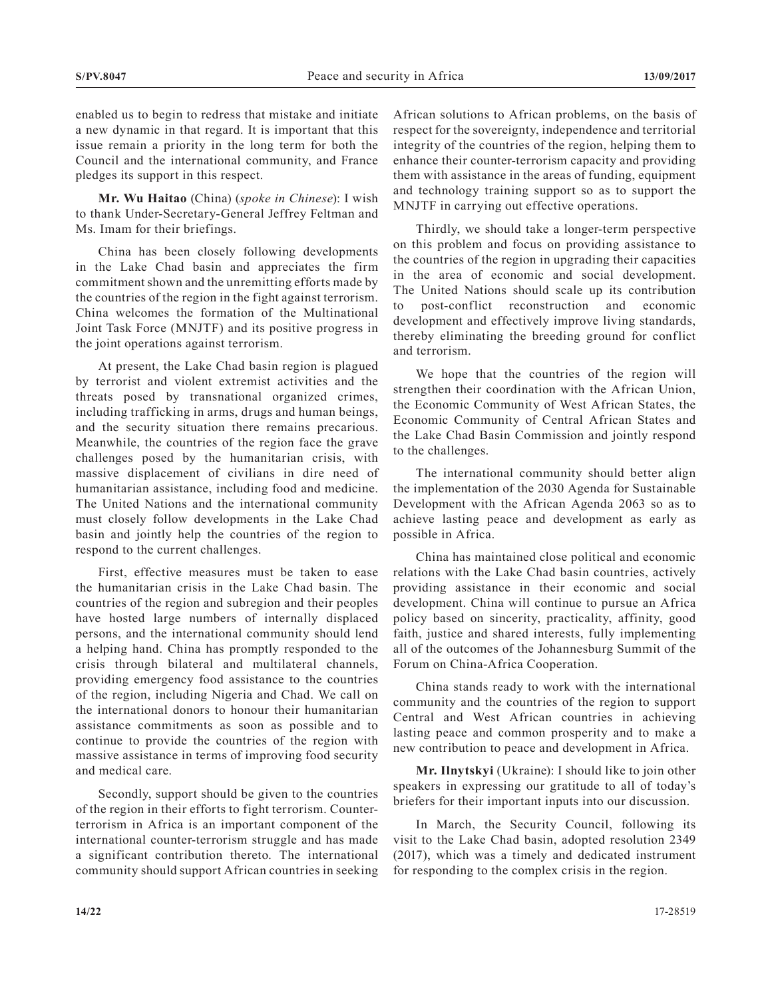enabled us to begin to redress that mistake and initiate a new dynamic in that regard. It is important that this issue remain a priority in the long term for both the Council and the international community, and France pledges its support in this respect.

**Mr. Wu Haitao** (China) (*spoke in Chinese*): I wish to thank Under-Secretary-General Jeffrey Feltman and Ms. Imam for their briefings.

China has been closely following developments in the Lake Chad basin and appreciates the firm commitment shown and the unremitting efforts made by the countries of the region in the fight against terrorism. China welcomes the formation of the Multinational Joint Task Force (MNJTF) and its positive progress in the joint operations against terrorism.

At present, the Lake Chad basin region is plagued by terrorist and violent extremist activities and the threats posed by transnational organized crimes, including trafficking in arms, drugs and human beings, and the security situation there remains precarious. Meanwhile, the countries of the region face the grave challenges posed by the humanitarian crisis, with massive displacement of civilians in dire need of humanitarian assistance, including food and medicine. The United Nations and the international community must closely follow developments in the Lake Chad basin and jointly help the countries of the region to respond to the current challenges.

First, effective measures must be taken to ease the humanitarian crisis in the Lake Chad basin. The countries of the region and subregion and their peoples have hosted large numbers of internally displaced persons, and the international community should lend a helping hand. China has promptly responded to the crisis through bilateral and multilateral channels, providing emergency food assistance to the countries of the region, including Nigeria and Chad. We call on the international donors to honour their humanitarian assistance commitments as soon as possible and to continue to provide the countries of the region with massive assistance in terms of improving food security and medical care.

Secondly, support should be given to the countries of the region in their efforts to fight terrorism. Counterterrorism in Africa is an important component of the international counter-terrorism struggle and has made a significant contribution thereto. The international community should support African countries in seeking African solutions to African problems, on the basis of respect for the sovereignty, independence and territorial integrity of the countries of the region, helping them to enhance their counter-terrorism capacity and providing them with assistance in the areas of funding, equipment and technology training support so as to support the MNJTF in carrying out effective operations.

Thirdly, we should take a longer-term perspective on this problem and focus on providing assistance to the countries of the region in upgrading their capacities in the area of economic and social development. The United Nations should scale up its contribution to post-conflict reconstruction and economic development and effectively improve living standards, thereby eliminating the breeding ground for conflict and terrorism.

We hope that the countries of the region will strengthen their coordination with the African Union, the Economic Community of West African States, the Economic Community of Central African States and the Lake Chad Basin Commission and jointly respond to the challenges.

The international community should better align the implementation of the 2030 Agenda for Sustainable Development with the African Agenda 2063 so as to achieve lasting peace and development as early as possible in Africa.

China has maintained close political and economic relations with the Lake Chad basin countries, actively providing assistance in their economic and social development. China will continue to pursue an Africa policy based on sincerity, practicality, affinity, good faith, justice and shared interests, fully implementing all of the outcomes of the Johannesburg Summit of the Forum on China-Africa Cooperation.

China stands ready to work with the international community and the countries of the region to support Central and West African countries in achieving lasting peace and common prosperity and to make a new contribution to peace and development in Africa.

**Mr. Ilnytskyi** (Ukraine): I should like to join other speakers in expressing our gratitude to all of today's briefers for their important inputs into our discussion.

In March, the Security Council, following its visit to the Lake Chad basin, adopted resolution 2349 (2017), which was a timely and dedicated instrument for responding to the complex crisis in the region.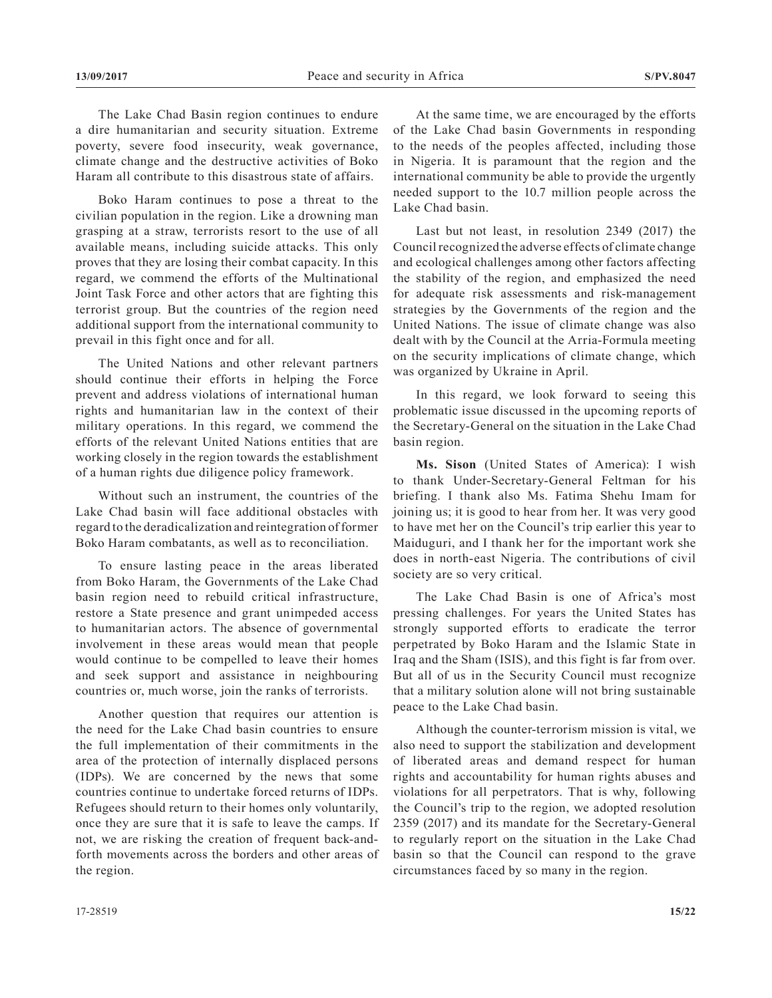The Lake Chad Basin region continues to endure a dire humanitarian and security situation. Extreme poverty, severe food insecurity, weak governance, climate change and the destructive activities of Boko Haram all contribute to this disastrous state of affairs.

Boko Haram continues to pose a threat to the civilian population in the region. Like a drowning man grasping at a straw, terrorists resort to the use of all available means, including suicide attacks. This only proves that they are losing their combat capacity. In this regard, we commend the efforts of the Multinational Joint Task Force and other actors that are fighting this terrorist group. But the countries of the region need additional support from the international community to prevail in this fight once and for all.

The United Nations and other relevant partners should continue their efforts in helping the Force prevent and address violations of international human rights and humanitarian law in the context of their military operations. In this regard, we commend the efforts of the relevant United Nations entities that are working closely in the region towards the establishment of a human rights due diligence policy framework.

Without such an instrument, the countries of the Lake Chad basin will face additional obstacles with regard to the deradicalization and reintegration of former Boko Haram combatants, as well as to reconciliation.

To ensure lasting peace in the areas liberated from Boko Haram, the Governments of the Lake Chad basin region need to rebuild critical infrastructure, restore a State presence and grant unimpeded access to humanitarian actors. The absence of governmental involvement in these areas would mean that people would continue to be compelled to leave their homes and seek support and assistance in neighbouring countries or, much worse, join the ranks of terrorists.

Another question that requires our attention is the need for the Lake Chad basin countries to ensure the full implementation of their commitments in the area of the protection of internally displaced persons (IDPs). We are concerned by the news that some countries continue to undertake forced returns of IDPs. Refugees should return to their homes only voluntarily, once they are sure that it is safe to leave the camps. If not, we are risking the creation of frequent back-andforth movements across the borders and other areas of the region.

At the same time, we are encouraged by the efforts of the Lake Chad basin Governments in responding to the needs of the peoples affected, including those in Nigeria. It is paramount that the region and the international community be able to provide the urgently needed support to the 10.7 million people across the Lake Chad basin.

Last but not least, in resolution 2349 (2017) the Council recognized the adverse effects of climate change and ecological challenges among other factors affecting the stability of the region, and emphasized the need for adequate risk assessments and risk-management strategies by the Governments of the region and the United Nations. The issue of climate change was also dealt with by the Council at the Arria-Formula meeting on the security implications of climate change, which was organized by Ukraine in April.

In this regard, we look forward to seeing this problematic issue discussed in the upcoming reports of the Secretary-General on the situation in the Lake Chad basin region.

**Ms. Sison** (United States of America): I wish to thank Under-Secretary-General Feltman for his briefing. I thank also Ms. Fatima Shehu Imam for joining us; it is good to hear from her. It was very good to have met her on the Council's trip earlier this year to Maiduguri, and I thank her for the important work she does in north-east Nigeria. The contributions of civil society are so very critical.

The Lake Chad Basin is one of Africa's most pressing challenges. For years the United States has strongly supported efforts to eradicate the terror perpetrated by Boko Haram and the Islamic State in Iraq and the Sham (ISIS), and this fight is far from over. But all of us in the Security Council must recognize that a military solution alone will not bring sustainable peace to the Lake Chad basin.

Although the counter-terrorism mission is vital, we also need to support the stabilization and development of liberated areas and demand respect for human rights and accountability for human rights abuses and violations for all perpetrators. That is why, following the Council's trip to the region, we adopted resolution 2359 (2017) and its mandate for the Secretary-General to regularly report on the situation in the Lake Chad basin so that the Council can respond to the grave circumstances faced by so many in the region.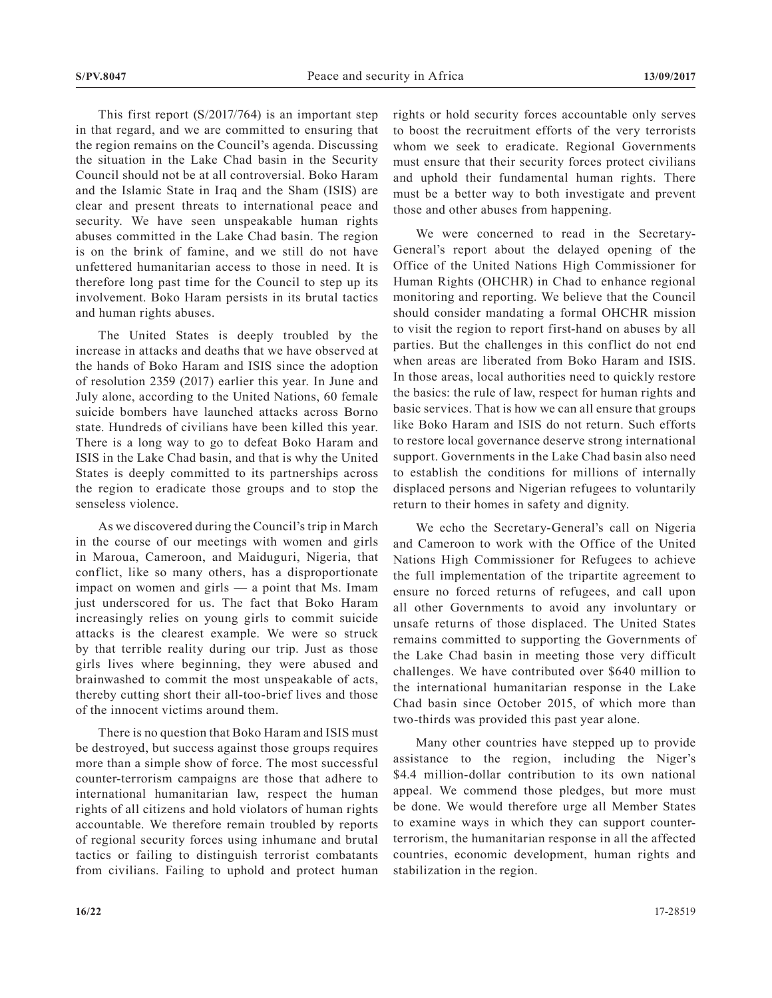This first report (S/2017/764) is an important step in that regard, and we are committed to ensuring that the region remains on the Council's agenda. Discussing the situation in the Lake Chad basin in the Security Council should not be at all controversial. Boko Haram and the Islamic State in Iraq and the Sham (ISIS) are clear and present threats to international peace and security. We have seen unspeakable human rights abuses committed in the Lake Chad basin. The region is on the brink of famine, and we still do not have unfettered humanitarian access to those in need. It is therefore long past time for the Council to step up its involvement. Boko Haram persists in its brutal tactics and human rights abuses.

The United States is deeply troubled by the increase in attacks and deaths that we have observed at the hands of Boko Haram and ISIS since the adoption of resolution 2359 (2017) earlier this year. In June and July alone, according to the United Nations, 60 female suicide bombers have launched attacks across Borno state. Hundreds of civilians have been killed this year. There is a long way to go to defeat Boko Haram and ISIS in the Lake Chad basin, and that is why the United States is deeply committed to its partnerships across the region to eradicate those groups and to stop the senseless violence.

As we discovered during the Council's trip in March in the course of our meetings with women and girls in Maroua, Cameroon, and Maiduguri, Nigeria, that conflict, like so many others, has a disproportionate impact on women and girls — a point that Ms. Imam just underscored for us. The fact that Boko Haram increasingly relies on young girls to commit suicide attacks is the clearest example. We were so struck by that terrible reality during our trip. Just as those girls lives where beginning, they were abused and brainwashed to commit the most unspeakable of acts, thereby cutting short their all-too-brief lives and those of the innocent victims around them.

There is no question that Boko Haram and ISIS must be destroyed, but success against those groups requires more than a simple show of force. The most successful counter-terrorism campaigns are those that adhere to international humanitarian law, respect the human rights of all citizens and hold violators of human rights accountable. We therefore remain troubled by reports of regional security forces using inhumane and brutal tactics or failing to distinguish terrorist combatants from civilians. Failing to uphold and protect human rights or hold security forces accountable only serves to boost the recruitment efforts of the very terrorists whom we seek to eradicate. Regional Governments must ensure that their security forces protect civilians and uphold their fundamental human rights. There must be a better way to both investigate and prevent those and other abuses from happening.

We were concerned to read in the Secretary-General's report about the delayed opening of the Office of the United Nations High Commissioner for Human Rights (OHCHR) in Chad to enhance regional monitoring and reporting. We believe that the Council should consider mandating a formal OHCHR mission to visit the region to report first-hand on abuses by all parties. But the challenges in this conflict do not end when areas are liberated from Boko Haram and ISIS. In those areas, local authorities need to quickly restore the basics: the rule of law, respect for human rights and basic services. That is how we can all ensure that groups like Boko Haram and ISIS do not return. Such efforts to restore local governance deserve strong international support. Governments in the Lake Chad basin also need to establish the conditions for millions of internally displaced persons and Nigerian refugees to voluntarily return to their homes in safety and dignity.

We echo the Secretary-General's call on Nigeria and Cameroon to work with the Office of the United Nations High Commissioner for Refugees to achieve the full implementation of the tripartite agreement to ensure no forced returns of refugees, and call upon all other Governments to avoid any involuntary or unsafe returns of those displaced. The United States remains committed to supporting the Governments of the Lake Chad basin in meeting those very difficult challenges. We have contributed over \$640 million to the international humanitarian response in the Lake Chad basin since October 2015, of which more than two-thirds was provided this past year alone.

Many other countries have stepped up to provide assistance to the region, including the Niger's \$4.4 million-dollar contribution to its own national appeal. We commend those pledges, but more must be done. We would therefore urge all Member States to examine ways in which they can support counterterrorism, the humanitarian response in all the affected countries, economic development, human rights and stabilization in the region.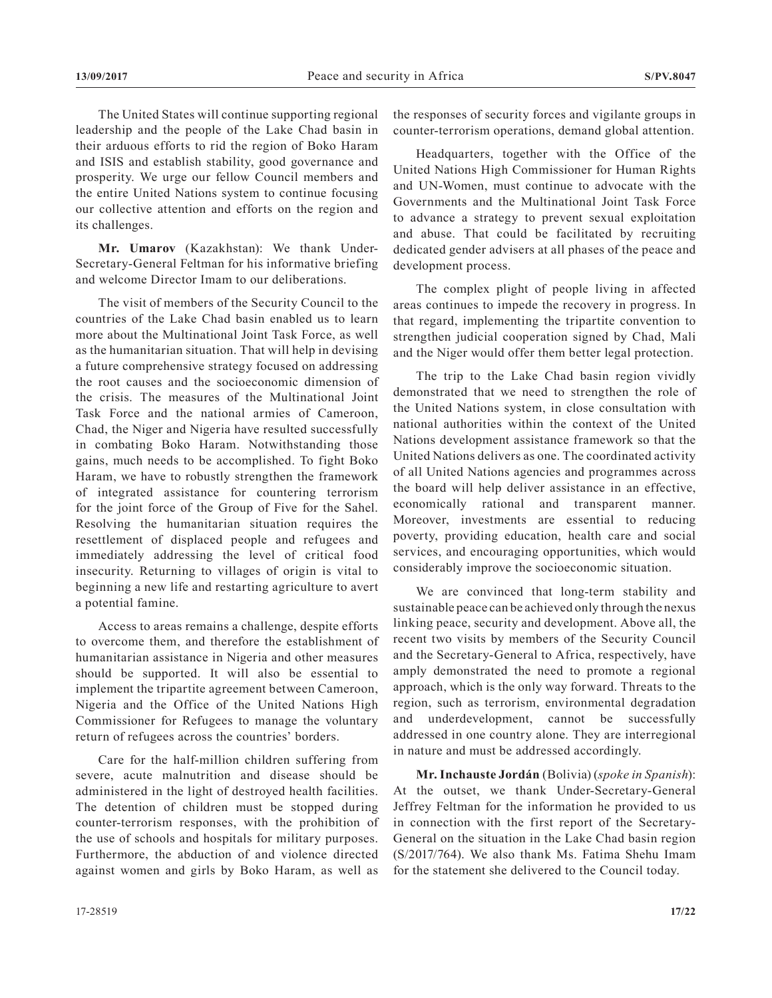The United States will continue supporting regional leadership and the people of the Lake Chad basin in their arduous efforts to rid the region of Boko Haram and ISIS and establish stability, good governance and prosperity. We urge our fellow Council members and the entire United Nations system to continue focusing our collective attention and efforts on the region and its challenges.

**Mr. Umarov** (Kazakhstan): We thank Under-Secretary-General Feltman for his informative briefing and welcome Director Imam to our deliberations.

The visit of members of the Security Council to the countries of the Lake Chad basin enabled us to learn more about the Multinational Joint Task Force, as well as the humanitarian situation. That will help in devising a future comprehensive strategy focused on addressing the root causes and the socioeconomic dimension of the crisis. The measures of the Multinational Joint Task Force and the national armies of Cameroon, Chad, the Niger and Nigeria have resulted successfully in combating Boko Haram. Notwithstanding those gains, much needs to be accomplished. To fight Boko Haram, we have to robustly strengthen the framework of integrated assistance for countering terrorism for the joint force of the Group of Five for the Sahel. Resolving the humanitarian situation requires the resettlement of displaced people and refugees and immediately addressing the level of critical food insecurity. Returning to villages of origin is vital to beginning a new life and restarting agriculture to avert a potential famine.

Access to areas remains a challenge, despite efforts to overcome them, and therefore the establishment of humanitarian assistance in Nigeria and other measures should be supported. It will also be essential to implement the tripartite agreement between Cameroon, Nigeria and the Office of the United Nations High Commissioner for Refugees to manage the voluntary return of refugees across the countries' borders.

Care for the half-million children suffering from severe, acute malnutrition and disease should be administered in the light of destroyed health facilities. The detention of children must be stopped during counter-terrorism responses, with the prohibition of the use of schools and hospitals for military purposes. Furthermore, the abduction of and violence directed against women and girls by Boko Haram, as well as

the responses of security forces and vigilante groups in counter-terrorism operations, demand global attention.

Headquarters, together with the Office of the United Nations High Commissioner for Human Rights and UN-Women, must continue to advocate with the Governments and the Multinational Joint Task Force to advance a strategy to prevent sexual exploitation and abuse. That could be facilitated by recruiting dedicated gender advisers at all phases of the peace and development process.

The complex plight of people living in affected areas continues to impede the recovery in progress. In that regard, implementing the tripartite convention to strengthen judicial cooperation signed by Chad, Mali and the Niger would offer them better legal protection.

The trip to the Lake Chad basin region vividly demonstrated that we need to strengthen the role of the United Nations system, in close consultation with national authorities within the context of the United Nations development assistance framework so that the United Nations delivers as one. The coordinated activity of all United Nations agencies and programmes across the board will help deliver assistance in an effective, economically rational and transparent manner. Moreover, investments are essential to reducing poverty, providing education, health care and social services, and encouraging opportunities, which would considerably improve the socioeconomic situation.

We are convinced that long-term stability and sustainable peace can be achieved only through the nexus linking peace, security and development. Above all, the recent two visits by members of the Security Council and the Secretary-General to Africa, respectively, have amply demonstrated the need to promote a regional approach, which is the only way forward. Threats to the region, such as terrorism, environmental degradation and underdevelopment, cannot be successfully addressed in one country alone. They are interregional in nature and must be addressed accordingly.

**Mr. Inchauste Jordán** (Bolivia) (*spoke in Spanish*): At the outset, we thank Under-Secretary-General Jeffrey Feltman for the information he provided to us in connection with the first report of the Secretary-General on the situation in the Lake Chad basin region (S/2017/764). We also thank Ms. Fatima Shehu Imam for the statement she delivered to the Council today.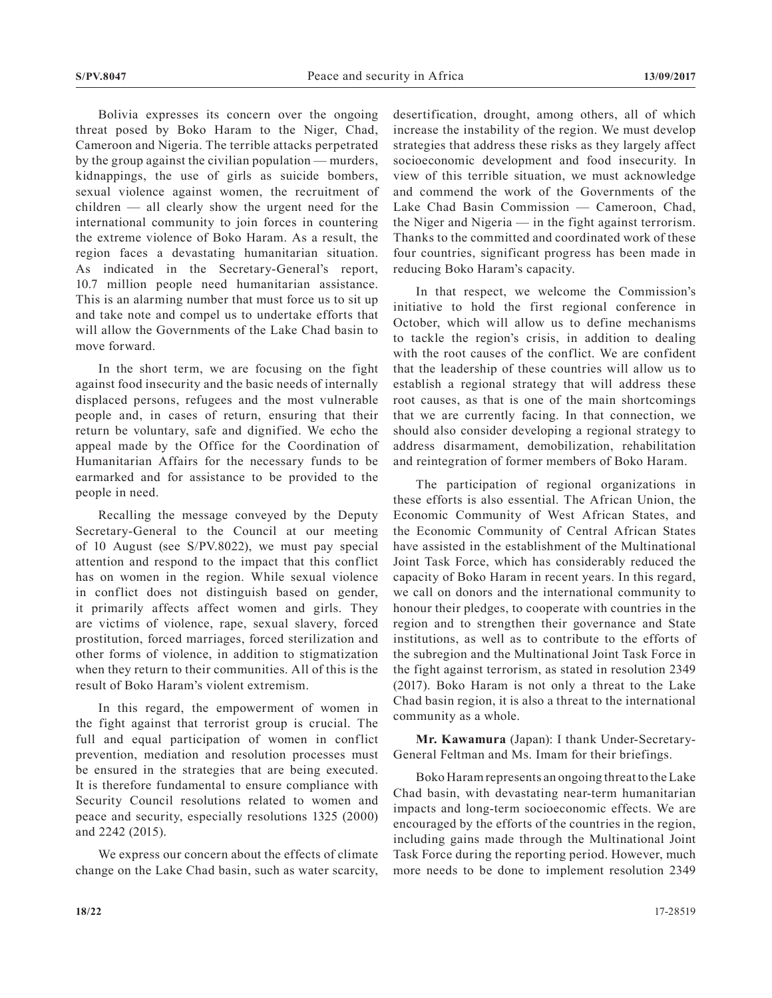Bolivia expresses its concern over the ongoing threat posed by Boko Haram to the Niger, Chad, Cameroon and Nigeria. The terrible attacks perpetrated by the group against the civilian population — murders, kidnappings, the use of girls as suicide bombers, sexual violence against women, the recruitment of children — all clearly show the urgent need for the international community to join forces in countering the extreme violence of Boko Haram. As a result, the region faces a devastating humanitarian situation. As indicated in the Secretary-General's report, 10.7 million people need humanitarian assistance. This is an alarming number that must force us to sit up and take note and compel us to undertake efforts that will allow the Governments of the Lake Chad basin to move forward.

In the short term, we are focusing on the fight against food insecurity and the basic needs of internally displaced persons, refugees and the most vulnerable people and, in cases of return, ensuring that their return be voluntary, safe and dignified. We echo the appeal made by the Office for the Coordination of Humanitarian Affairs for the necessary funds to be earmarked and for assistance to be provided to the people in need.

Recalling the message conveyed by the Deputy Secretary-General to the Council at our meeting of 10 August (see S/PV.8022), we must pay special attention and respond to the impact that this conflict has on women in the region. While sexual violence in conflict does not distinguish based on gender, it primarily affects affect women and girls. They are victims of violence, rape, sexual slavery, forced prostitution, forced marriages, forced sterilization and other forms of violence, in addition to stigmatization when they return to their communities. All of this is the result of Boko Haram's violent extremism.

In this regard, the empowerment of women in the fight against that terrorist group is crucial. The full and equal participation of women in conflict prevention, mediation and resolution processes must be ensured in the strategies that are being executed. It is therefore fundamental to ensure compliance with Security Council resolutions related to women and peace and security, especially resolutions 1325 (2000) and 2242 (2015).

We express our concern about the effects of climate change on the Lake Chad basin, such as water scarcity, desertification, drought, among others, all of which increase the instability of the region. We must develop strategies that address these risks as they largely affect socioeconomic development and food insecurity. In view of this terrible situation, we must acknowledge and commend the work of the Governments of the Lake Chad Basin Commission — Cameroon, Chad, the Niger and Nigeria — in the fight against terrorism. Thanks to the committed and coordinated work of these four countries, significant progress has been made in reducing Boko Haram's capacity.

In that respect, we welcome the Commission's initiative to hold the first regional conference in October, which will allow us to define mechanisms to tackle the region's crisis, in addition to dealing with the root causes of the conflict. We are confident that the leadership of these countries will allow us to establish a regional strategy that will address these root causes, as that is one of the main shortcomings that we are currently facing. In that connection, we should also consider developing a regional strategy to address disarmament, demobilization, rehabilitation and reintegration of former members of Boko Haram.

The participation of regional organizations in these efforts is also essential. The African Union, the Economic Community of West African States, and the Economic Community of Central African States have assisted in the establishment of the Multinational Joint Task Force, which has considerably reduced the capacity of Boko Haram in recent years. In this regard, we call on donors and the international community to honour their pledges, to cooperate with countries in the region and to strengthen their governance and State institutions, as well as to contribute to the efforts of the subregion and the Multinational Joint Task Force in the fight against terrorism, as stated in resolution 2349 (2017). Boko Haram is not only a threat to the Lake Chad basin region, it is also a threat to the international community as a whole.

**Mr. Kawamura** (Japan): I thank Under-Secretary-General Feltman and Ms. Imam for their briefings.

Boko Haram represents an ongoing threat to the Lake Chad basin, with devastating near-term humanitarian impacts and long-term socioeconomic effects. We are encouraged by the efforts of the countries in the region, including gains made through the Multinational Joint Task Force during the reporting period. However, much more needs to be done to implement resolution 2349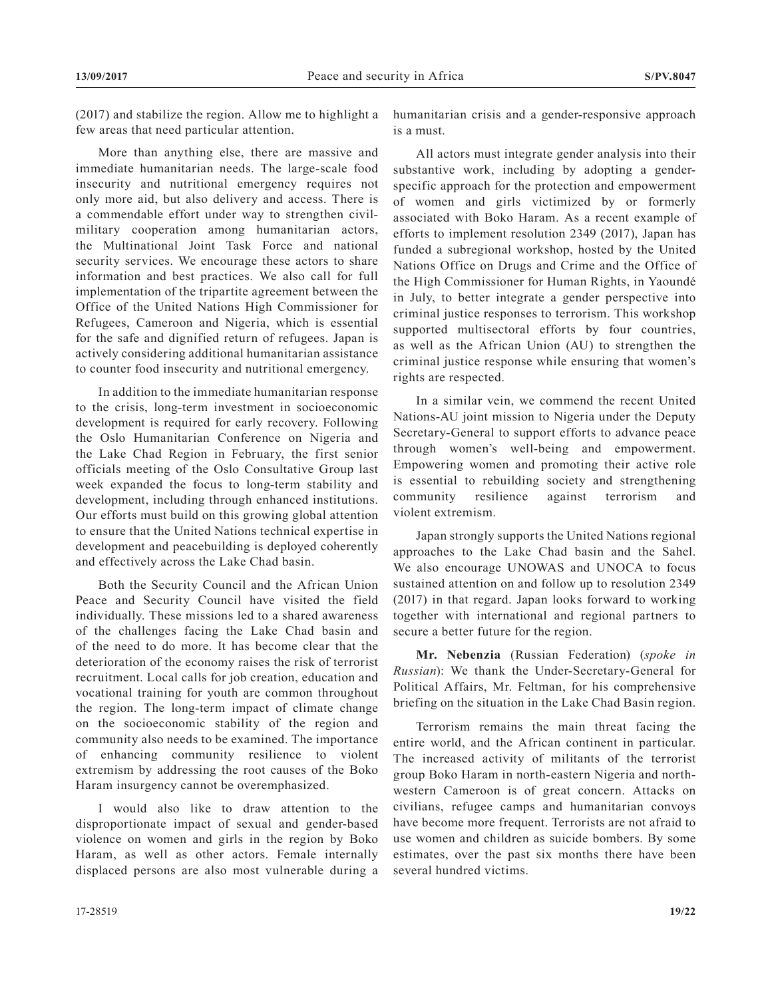(2017) and stabilize the region. Allow me to highlight a few areas that need particular attention.

More than anything else, there are massive and immediate humanitarian needs. The large-scale food insecurity and nutritional emergency requires not only more aid, but also delivery and access. There is a commendable effort under way to strengthen civilmilitary cooperation among humanitarian actors, the Multinational Joint Task Force and national security services. We encourage these actors to share information and best practices. We also call for full implementation of the tripartite agreement between the Office of the United Nations High Commissioner for Refugees, Cameroon and Nigeria, which is essential for the safe and dignified return of refugees. Japan is actively considering additional humanitarian assistance to counter food insecurity and nutritional emergency.

In addition to the immediate humanitarian response to the crisis, long-term investment in socioeconomic development is required for early recovery. Following the Oslo Humanitarian Conference on Nigeria and the Lake Chad Region in February, the first senior officials meeting of the Oslo Consultative Group last week expanded the focus to long-term stability and development, including through enhanced institutions. Our efforts must build on this growing global attention to ensure that the United Nations technical expertise in development and peacebuilding is deployed coherently and effectively across the Lake Chad basin.

Both the Security Council and the African Union Peace and Security Council have visited the field individually. These missions led to a shared awareness of the challenges facing the Lake Chad basin and of the need to do more. It has become clear that the deterioration of the economy raises the risk of terrorist recruitment. Local calls for job creation, education and vocational training for youth are common throughout the region. The long-term impact of climate change on the socioeconomic stability of the region and community also needs to be examined. The importance of enhancing community resilience to violent extremism by addressing the root causes of the Boko Haram insurgency cannot be overemphasized.

I would also like to draw attention to the disproportionate impact of sexual and gender-based violence on women and girls in the region by Boko Haram, as well as other actors. Female internally displaced persons are also most vulnerable during a

All actors must integrate gender analysis into their substantive work, including by adopting a genderspecific approach for the protection and empowerment of women and girls victimized by or formerly associated with Boko Haram. As a recent example of efforts to implement resolution 2349 (2017), Japan has funded a subregional workshop, hosted by the United Nations Office on Drugs and Crime and the Office of the High Commissioner for Human Rights, in Yaoundé in July, to better integrate a gender perspective into criminal justice responses to terrorism. This workshop supported multisectoral efforts by four countries, as well as the African Union (AU) to strengthen the criminal justice response while ensuring that women's rights are respected.

In a similar vein, we commend the recent United Nations-AU joint mission to Nigeria under the Deputy Secretary-General to support efforts to advance peace through women's well-being and empowerment. Empowering women and promoting their active role is essential to rebuilding society and strengthening community resilience against terrorism and violent extremism.

Japan strongly supports the United Nations regional approaches to the Lake Chad basin and the Sahel. We also encourage UNOWAS and UNOCA to focus sustained attention on and follow up to resolution 2349 (2017) in that regard. Japan looks forward to working together with international and regional partners to secure a better future for the region.

**Mr. Nebenzia** (Russian Federation) (*spoke in Russian*): We thank the Under-Secretary-General for Political Affairs, Mr. Feltman, for his comprehensive briefing on the situation in the Lake Chad Basin region.

Terrorism remains the main threat facing the entire world, and the African continent in particular. The increased activity of militants of the terrorist group Boko Haram in north-eastern Nigeria and northwestern Cameroon is of great concern. Attacks on civilians, refugee camps and humanitarian convoys have become more frequent. Terrorists are not afraid to use women and children as suicide bombers. By some estimates, over the past six months there have been several hundred victims.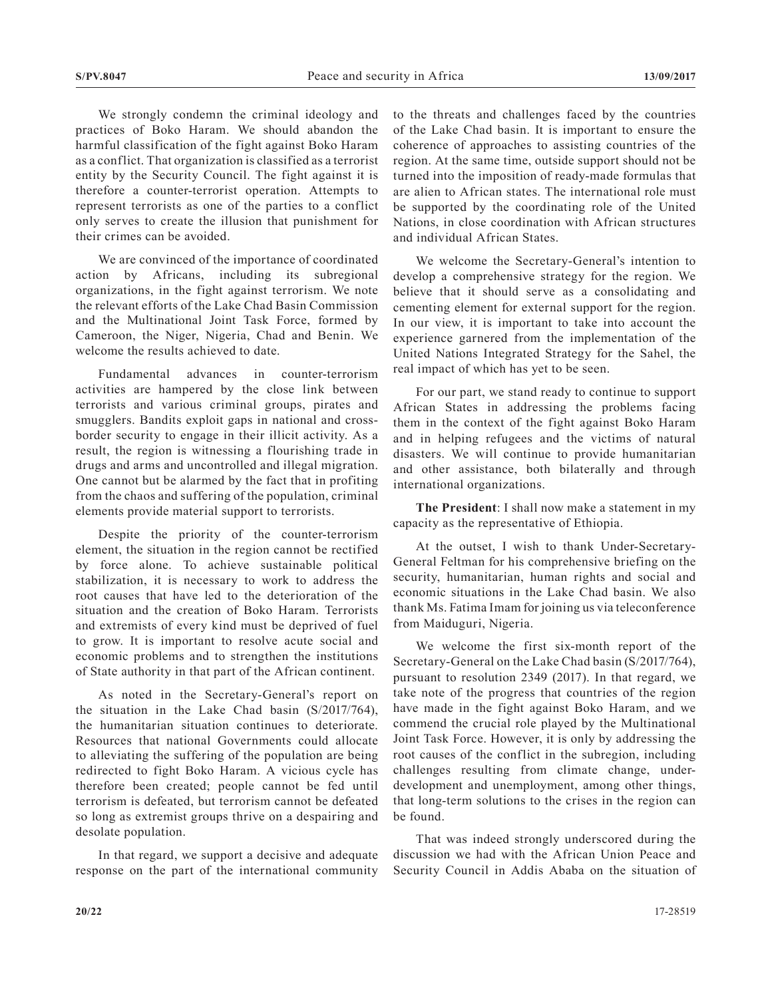We strongly condemn the criminal ideology and practices of Boko Haram. We should abandon the harmful classification of the fight against Boko Haram as a conflict. That organization is classified as a terrorist entity by the Security Council. The fight against it is therefore a counter-terrorist operation. Attempts to represent terrorists as one of the parties to a conflict only serves to create the illusion that punishment for their crimes can be avoided.

We are convinced of the importance of coordinated action by Africans, including its subregional organizations, in the fight against terrorism. We note the relevant efforts of the Lake Chad Basin Commission and the Multinational Joint Task Force, formed by Cameroon, the Niger, Nigeria, Chad and Benin. We welcome the results achieved to date.

Fundamental advances in counter-terrorism activities are hampered by the close link between terrorists and various criminal groups, pirates and smugglers. Bandits exploit gaps in national and crossborder security to engage in their illicit activity. As a result, the region is witnessing a flourishing trade in drugs and arms and uncontrolled and illegal migration. One cannot but be alarmed by the fact that in profiting from the chaos and suffering of the population, criminal elements provide material support to terrorists.

Despite the priority of the counter-terrorism element, the situation in the region cannot be rectified by force alone. To achieve sustainable political stabilization, it is necessary to work to address the root causes that have led to the deterioration of the situation and the creation of Boko Haram. Terrorists and extremists of every kind must be deprived of fuel to grow. It is important to resolve acute social and economic problems and to strengthen the institutions of State authority in that part of the African continent.

As noted in the Secretary-General's report on the situation in the Lake Chad basin (S/2017/764), the humanitarian situation continues to deteriorate. Resources that national Governments could allocate to alleviating the suffering of the population are being redirected to fight Boko Haram. A vicious cycle has therefore been created; people cannot be fed until terrorism is defeated, but terrorism cannot be defeated so long as extremist groups thrive on a despairing and desolate population.

In that regard, we support a decisive and adequate response on the part of the international community to the threats and challenges faced by the countries of the Lake Chad basin. It is important to ensure the coherence of approaches to assisting countries of the region. At the same time, outside support should not be turned into the imposition of ready-made formulas that are alien to African states. The international role must be supported by the coordinating role of the United Nations, in close coordination with African structures and individual African States.

We welcome the Secretary-General's intention to develop a comprehensive strategy for the region. We believe that it should serve as a consolidating and cementing element for external support for the region. In our view, it is important to take into account the experience garnered from the implementation of the United Nations Integrated Strategy for the Sahel, the real impact of which has yet to be seen.

For our part, we stand ready to continue to support African States in addressing the problems facing them in the context of the fight against Boko Haram and in helping refugees and the victims of natural disasters. We will continue to provide humanitarian and other assistance, both bilaterally and through international organizations.

**The President**: I shall now make a statement in my capacity as the representative of Ethiopia.

At the outset, I wish to thank Under-Secretary-General Feltman for his comprehensive briefing on the security, humanitarian, human rights and social and economic situations in the Lake Chad basin. We also thank Ms. Fatima Imam for joining us via teleconference from Maiduguri, Nigeria.

We welcome the first six-month report of the Secretary-General on the Lake Chad basin (S/2017/764), pursuant to resolution 2349 (2017). In that regard, we take note of the progress that countries of the region have made in the fight against Boko Haram, and we commend the crucial role played by the Multinational Joint Task Force. However, it is only by addressing the root causes of the conflict in the subregion, including challenges resulting from climate change, underdevelopment and unemployment, among other things, that long-term solutions to the crises in the region can be found.

That was indeed strongly underscored during the discussion we had with the African Union Peace and Security Council in Addis Ababa on the situation of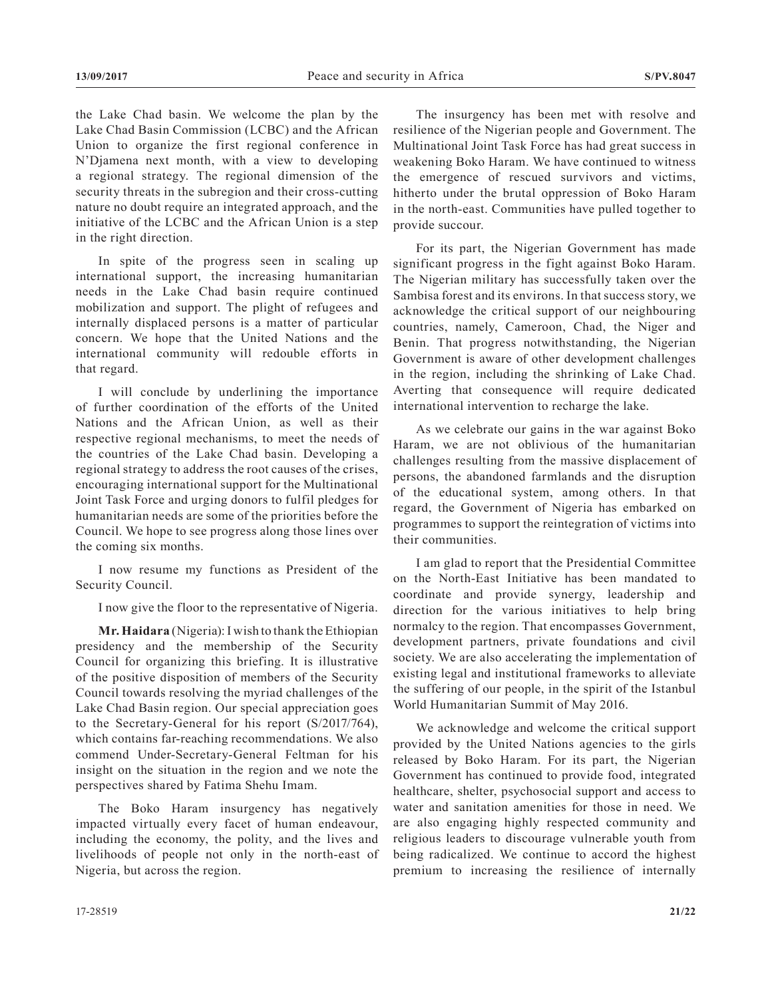the Lake Chad basin. We welcome the plan by the Lake Chad Basin Commission (LCBC) and the African Union to organize the first regional conference in N'Djamena next month, with a view to developing a regional strategy. The regional dimension of the security threats in the subregion and their cross-cutting nature no doubt require an integrated approach, and the initiative of the LCBC and the African Union is a step in the right direction.

In spite of the progress seen in scaling up international support, the increasing humanitarian needs in the Lake Chad basin require continued mobilization and support. The plight of refugees and internally displaced persons is a matter of particular concern. We hope that the United Nations and the international community will redouble efforts in that regard.

I will conclude by underlining the importance of further coordination of the efforts of the United Nations and the African Union, as well as their respective regional mechanisms, to meet the needs of the countries of the Lake Chad basin. Developing a regional strategy to address the root causes of the crises, encouraging international support for the Multinational Joint Task Force and urging donors to fulfil pledges for humanitarian needs are some of the priorities before the Council. We hope to see progress along those lines over the coming six months.

I now resume my functions as President of the Security Council.

I now give the floor to the representative of Nigeria.

**Mr. Haidara** (Nigeria): I wish to thank the Ethiopian presidency and the membership of the Security Council for organizing this briefing. It is illustrative of the positive disposition of members of the Security Council towards resolving the myriad challenges of the Lake Chad Basin region. Our special appreciation goes to the Secretary-General for his report (S/2017/764), which contains far-reaching recommendations. We also commend Under-Secretary-General Feltman for his insight on the situation in the region and we note the perspectives shared by Fatima Shehu Imam.

The Boko Haram insurgency has negatively impacted virtually every facet of human endeavour, including the economy, the polity, and the lives and livelihoods of people not only in the north-east of Nigeria, but across the region.

The insurgency has been met with resolve and resilience of the Nigerian people and Government. The Multinational Joint Task Force has had great success in weakening Boko Haram. We have continued to witness the emergence of rescued survivors and victims, hitherto under the brutal oppression of Boko Haram in the north-east. Communities have pulled together to provide succour.

For its part, the Nigerian Government has made significant progress in the fight against Boko Haram. The Nigerian military has successfully taken over the Sambisa forest and its environs. In that success story, we acknowledge the critical support of our neighbouring countries, namely, Cameroon, Chad, the Niger and Benin. That progress notwithstanding, the Nigerian Government is aware of other development challenges in the region, including the shrinking of Lake Chad. Averting that consequence will require dedicated international intervention to recharge the lake.

As we celebrate our gains in the war against Boko Haram, we are not oblivious of the humanitarian challenges resulting from the massive displacement of persons, the abandoned farmlands and the disruption of the educational system, among others. In that regard, the Government of Nigeria has embarked on programmes to support the reintegration of victims into their communities.

I am glad to report that the Presidential Committee on the North-East Initiative has been mandated to coordinate and provide synergy, leadership and direction for the various initiatives to help bring normalcy to the region. That encompasses Government, development partners, private foundations and civil society. We are also accelerating the implementation of existing legal and institutional frameworks to alleviate the suffering of our people, in the spirit of the Istanbul World Humanitarian Summit of May 2016.

We acknowledge and welcome the critical support provided by the United Nations agencies to the girls released by Boko Haram. For its part, the Nigerian Government has continued to provide food, integrated healthcare, shelter, psychosocial support and access to water and sanitation amenities for those in need. We are also engaging highly respected community and religious leaders to discourage vulnerable youth from being radicalized. We continue to accord the highest premium to increasing the resilience of internally